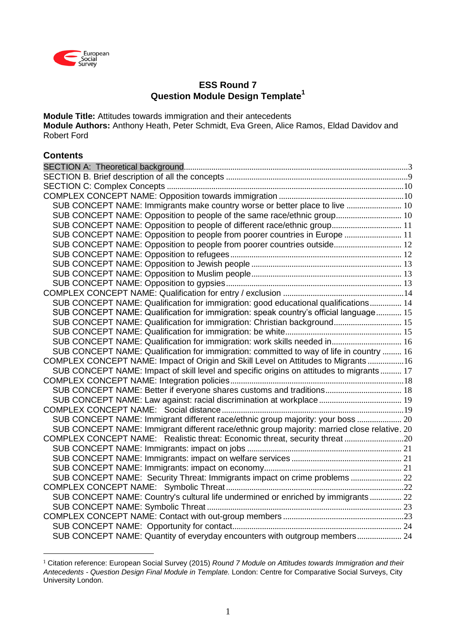

# **ESS Round 7 Question Module Design Template<sup>1</sup>**

**Module Title:** Attitudes towards immigration and their antecedents **Module Authors:** Anthony Heath, Peter Schmidt, Eva Green, Alice Ramos, Eldad Davidov and Robert Ford

## **Contents**

<u>.</u>

| SUB CONCEPT NAME: Immigrants make country worse or better place to live  10                  |  |
|----------------------------------------------------------------------------------------------|--|
| SUB CONCEPT NAME: Opposition to people of the same race/ethnic group 10                      |  |
| SUB CONCEPT NAME: Opposition to people of different race/ethnic group 11                     |  |
| SUB CONCEPT NAME: Opposition to people from poorer countries in Europe  11                   |  |
| SUB CONCEPT NAME: Opposition to people from poorer countries outside 12                      |  |
|                                                                                              |  |
|                                                                                              |  |
|                                                                                              |  |
|                                                                                              |  |
|                                                                                              |  |
| SUB CONCEPT NAME: Qualification for immigration: good educational qualifications 14          |  |
| SUB CONCEPT NAME: Qualification for immigration: speak country's official language 15        |  |
| SUB CONCEPT NAME: Qualification for immigration: Christian background 15                     |  |
|                                                                                              |  |
| SUB CONCEPT NAME: Qualification for immigration: work skills needed in 16                    |  |
| SUB CONCEPT NAME: Qualification for immigration: committed to way of life in country  16     |  |
| COMPLEX CONCEPT NAME: Impact of Origin and Skill Level on Attitudes to Migrants 16           |  |
| SUB CONCEPT NAME: Impact of skill level and specific origins on attitudes to migrants 17     |  |
|                                                                                              |  |
| SUB CONCEPT NAME: Better if everyone shares customs and traditions 18                        |  |
| SUB CONCEPT NAME: Law against: racial discrimination at workplace 19                         |  |
|                                                                                              |  |
| SUB CONCEPT NAME: Immigrant different race/ethnic group majority: your boss  20              |  |
| SUB CONCEPT NAME: Immigrant different race/ethnic group majority: married close relative. 20 |  |
| COMPLEX CONCEPT NAME: Realistic threat: Economic threat, security threat20                   |  |
|                                                                                              |  |
|                                                                                              |  |
|                                                                                              |  |
| SUB CONCEPT NAME: Security Threat: Immigrants impact on crime problems  22                   |  |
|                                                                                              |  |
| SUB CONCEPT NAME: Country's cultural life undermined or enriched by immigrants 22            |  |
|                                                                                              |  |
|                                                                                              |  |
|                                                                                              |  |
| SUB CONCEPT NAME: Quantity of everyday encounters with outgroup members 24                   |  |

<sup>1</sup> Citation reference: European Social Survey (2015) *Round 7 Module on Attitudes towards Immigration and their Antecedents - Question Design Final Module in Template.* London: Centre for Comparative Social Surveys, City University London.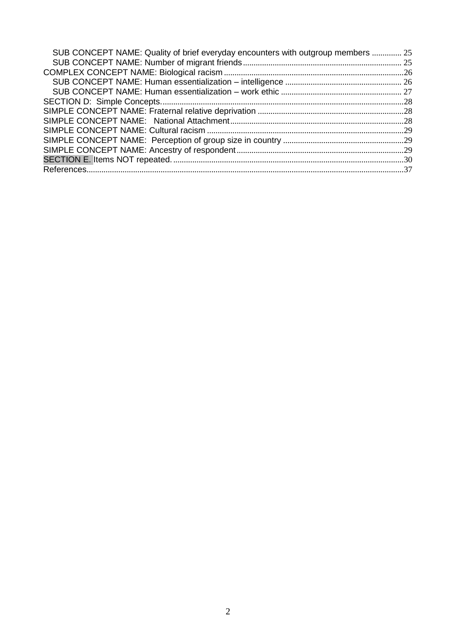| SUB CONCEPT NAME: Quality of brief everyday encounters with outgroup members  25 |  |
|----------------------------------------------------------------------------------|--|
|                                                                                  |  |
|                                                                                  |  |
|                                                                                  |  |
|                                                                                  |  |
|                                                                                  |  |
|                                                                                  |  |
|                                                                                  |  |
|                                                                                  |  |
|                                                                                  |  |
|                                                                                  |  |
|                                                                                  |  |
|                                                                                  |  |
|                                                                                  |  |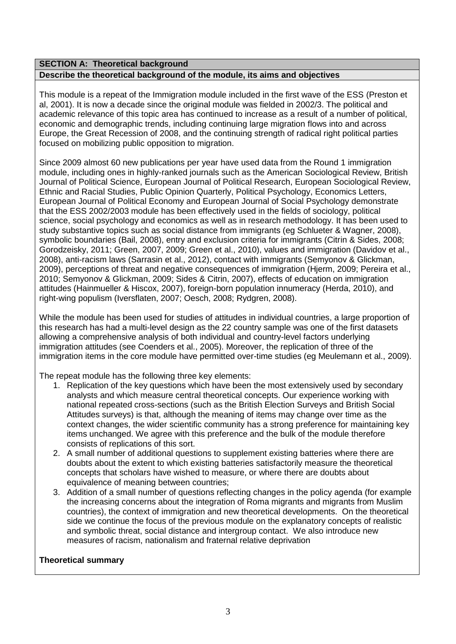### <span id="page-2-0"></span>**SECTION A: Theoretical background**

### **Describe the theoretical background of the module, its aims and objectives**

This module is a repeat of the Immigration module included in the first wave of the ESS (Preston et al, 2001). It is now a decade since the original module was fielded in 2002/3. The political and academic relevance of this topic area has continued to increase as a result of a number of political, economic and demographic trends, including continuing large migration flows into and across Europe, the Great Recession of 2008, and the continuing strength of radical right political parties focused on mobilizing public opposition to migration.

Since 2009 almost 60 new publications per year have used data from the Round 1 immigration module, including ones in highly-ranked journals such as the American Sociological Review, British Journal of Political Science, European Journal of Political Research, European Sociological Review, Ethnic and Racial Studies, Public Opinion Quarterly, Political Psychology, Economics Letters, European Journal of Political Economy and European Journal of Social Psychology demonstrate that the ESS 2002/2003 module has been effectively used in the fields of sociology, political science, social psychology and economics as well as in research methodology. It has been used to study substantive topics such as social distance from immigrants (eg Schlueter & Wagner, 2008), symbolic boundaries (Bail, 2008), entry and exclusion criteria for immigrants (Citrin & Sides, 2008; Gorodzeisky, 2011; Green, 2007, 2009; Green et al., 2010), values and immigration (Davidov et al., 2008), anti-racism laws (Sarrasin et al., 2012), contact with immigrants (Semyonov & Glickman, 2009), perceptions of threat and negative consequences of immigration (Hjerm, 2009; Pereira et al., 2010; Semyonov & Glickman, 2009; Sides & Citrin, 2007), effects of education on immigration attitudes (Hainmueller & Hiscox, 2007), foreign-born population innumeracy (Herda, 2010), and right-wing populism (Iversflaten, 2007; Oesch, 2008; Rydgren, 2008).

While the module has been used for studies of attitudes in individual countries, a large proportion of this research has had a multi-level design as the 22 country sample was one of the first datasets allowing a comprehensive analysis of both individual and country-level factors underlying immigration attitudes (see Coenders et al., 2005). Moreover, the replication of three of the immigration items in the core module have permitted over-time studies (eg Meulemann et al., 2009).

The repeat module has the following three key elements:

- 1. Replication of the key questions which have been the most extensively used by secondary analysts and which measure central theoretical concepts. Our experience working with national repeated cross-sections (such as the British Election Surveys and British Social Attitudes surveys) is that, although the meaning of items may change over time as the context changes, the wider scientific community has a strong preference for maintaining key items unchanged. We agree with this preference and the bulk of the module therefore consists of replications of this sort.
- 2. A small number of additional questions to supplement existing batteries where there are doubts about the extent to which existing batteries satisfactorily measure the theoretical concepts that scholars have wished to measure, or where there are doubts about equivalence of meaning between countries;
- 3. Addition of a small number of questions reflecting changes in the policy agenda (for example the increasing concerns about the integration of Roma migrants and migrants from Muslim countries), the context of immigration and new theoretical developments. On the theoretical side we continue the focus of the previous module on the explanatory concepts of realistic and symbolic threat, social distance and intergroup contact. We also introduce new measures of racism, nationalism and fraternal relative deprivation

### **Theoretical summary**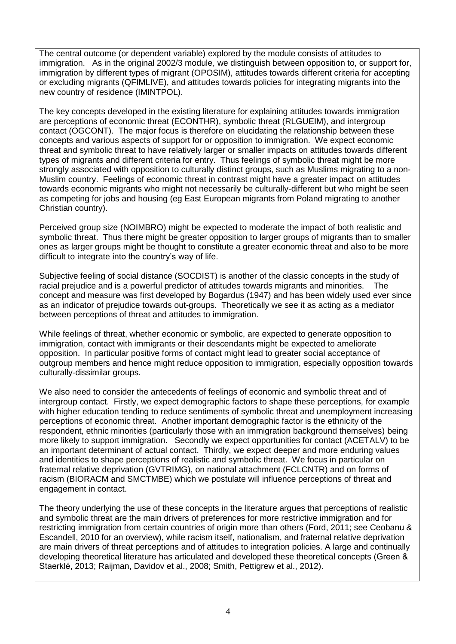The central outcome (or dependent variable) explored by the module consists of attitudes to immigration. As in the original 2002/3 module, we distinguish between opposition to, or support for, immigration by different types of migrant (OPOSIM), attitudes towards different criteria for accepting or excluding migrants (QFIMLIVE), and attitudes towards policies for integrating migrants into the new country of residence (IMINTPOL).

The key concepts developed in the existing literature for explaining attitudes towards immigration are perceptions of economic threat (ECONTHR), symbolic threat (RLGUEIM), and intergroup contact (OGCONT). The major focus is therefore on elucidating the relationship between these concepts and various aspects of support for or opposition to immigration. We expect economic threat and symbolic threat to have relatively larger or smaller impacts on attitudes towards different types of migrants and different criteria for entry. Thus feelings of symbolic threat might be more strongly associated with opposition to culturally distinct groups, such as Muslims migrating to a non-Muslim country. Feelings of economic threat in contrast might have a greater impact on attitudes towards economic migrants who might not necessarily be culturally-different but who might be seen as competing for jobs and housing (eg East European migrants from Poland migrating to another Christian country).

Perceived group size (NOIMBRO) might be expected to moderate the impact of both realistic and symbolic threat. Thus there might be greater opposition to larger groups of migrants than to smaller ones as larger groups might be thought to constitute a greater economic threat and also to be more difficult to integrate into the country's way of life.

Subjective feeling of social distance (SOCDIST) is another of the classic concepts in the study of racial prejudice and is a powerful predictor of attitudes towards migrants and minorities. The concept and measure was first developed by Bogardus (1947) and has been widely used ever since as an indicator of prejudice towards out-groups. Theoretically we see it as acting as a mediator between perceptions of threat and attitudes to immigration.

While feelings of threat, whether economic or symbolic, are expected to generate opposition to immigration, contact with immigrants or their descendants might be expected to ameliorate opposition. In particular positive forms of contact might lead to greater social acceptance of outgroup members and hence might reduce opposition to immigration, especially opposition towards culturally-dissimilar groups.

We also need to consider the antecedents of feelings of economic and symbolic threat and of intergroup contact. Firstly, we expect demographic factors to shape these perceptions, for example with higher education tending to reduce sentiments of symbolic threat and unemployment increasing perceptions of economic threat. Another important demographic factor is the ethnicity of the respondent, ethnic minorities (particularly those with an immigration background themselves) being more likely to support immigration. Secondly we expect opportunities for contact (ACETALV) to be an important determinant of actual contact. Thirdly, we expect deeper and more enduring values and identities to shape perceptions of realistic and symbolic threat. We focus in particular on fraternal relative deprivation (GVTRIMG), on national attachment (FCLCNTR) and on forms of racism (BIORACM and SMCTMBE) which we postulate will influence perceptions of threat and engagement in contact.

The theory underlying the use of these concepts in the literature argues that perceptions of realistic and symbolic threat are the main drivers of preferences for more restrictive immigration and for restricting immigration from certain countries of origin more than others (Ford, 2011; see Ceobanu & Escandell, 2010 for an overview), while racism itself, nationalism, and fraternal relative deprivation are main drivers of threat perceptions and of attitudes to integration policies. A large and continually developing theoretical literature has articulated and developed these theoretical concepts (Green & Staerklé, 2013; Raijman, Davidov et al., 2008; Smith, Pettigrew et al., 2012).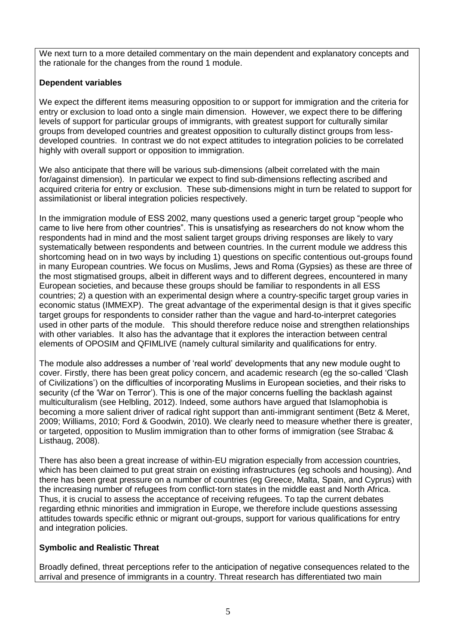We next turn to a more detailed commentary on the main dependent and explanatory concepts and the rationale for the changes from the round 1 module.

## **Dependent variables**

We expect the different items measuring opposition to or support for immigration and the criteria for entry or exclusion to load onto a single main dimension. However, we expect there to be differing levels of support for particular groups of immigrants, with greatest support for culturally similar groups from developed countries and greatest opposition to culturally distinct groups from lessdeveloped countries. In contrast we do not expect attitudes to integration policies to be correlated highly with overall support or opposition to immigration.

We also anticipate that there will be various sub-dimensions (albeit correlated with the main for/against dimension). In particular we expect to find sub-dimensions reflecting ascribed and acquired criteria for entry or exclusion. These sub-dimensions might in turn be related to support for assimilationist or liberal integration policies respectively.

In the immigration module of ESS 2002, many questions used a generic target group "people who came to live here from other countries". This is unsatisfying as researchers do not know whom the respondents had in mind and the most salient target groups driving responses are likely to vary systematically between respondents and between countries. In the current module we address this shortcoming head on in two ways by including 1) questions on specific contentious out-groups found in many European countries. We focus on Muslims, Jews and Roma (Gypsies) as these are three of the most stigmatised groups, albeit in different ways and to different degrees, encountered in many European societies, and because these groups should be familiar to respondents in all ESS countries; 2) a question with an experimental design where a country-specific target group varies in economic status (IMMEXP). The great advantage of the experimental design is that it gives specific target groups for respondents to consider rather than the vague and hard-to-interpret categories used in other parts of the module. This should therefore reduce noise and strengthen relationships with other variables. It also has the advantage that it explores the interaction between central elements of OPOSIM and QFIMLIVE (namely cultural similarity and qualifications for entry.

The module also addresses a number of 'real world' developments that any new module ought to cover. Firstly, there has been great policy concern, and academic research (eg the so-called 'Clash of Civilizations') on the difficulties of incorporating Muslims in European societies and their risks to security cf the 'War on Terror'). This is one of the major concerns fuelling the backlash against multiculturalism (see Helbling, 2012). Indeed, some authors have argued that Islamophobia is becoming a more salient driver of radical right support than anti-immigrant sentiment (Betz & Meret, 2009; Williams, 2010; Ford & Goodwin, 2010). We clearly need to measure whether there is greater, or targeted, opposition to Muslim immigration than to other forms of immigration (see Strabac & Listhaug, 2008).

There has also been a great increase of within-EU migration especially from accession countries, which has been claimed to put great strain on existing infrastructures (eg schools and housing). And there has been great pressure on a number of countries (eg Greece, Malta, Spain, and Cyprus) with the increasing number of refugees from conflict-torn states in the middle east and North Africa. Thus, it is crucial to assess the acceptance of receiving refugees. To tap the current debates regarding ethnic minorities and immigration in Europe, we therefore include questions assessing attitudes towards specific ethnic or migrant out-groups, support for various qualifications for entry and integration policies.

## **Symbolic and Realistic Threat**

Broadly defined, threat perceptions refer to the anticipation of negative consequences related to the arrival and presence of immigrants in a country. Threat research has differentiated two main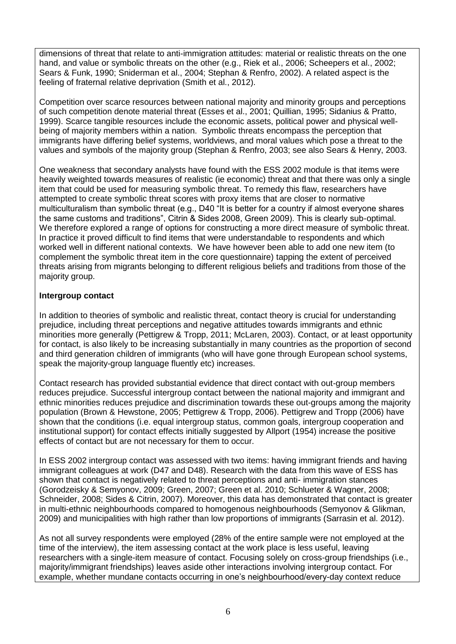dimensions of threat that relate to anti-immigration attitudes: material or realistic threats on the one hand, and value or symbolic threats on the other (e.g., Riek et al., 2006; Scheepers et al., 2002; Sears & Funk, 1990; Sniderman et al., 2004; Stephan & Renfro, 2002). A related aspect is the feeling of fraternal relative deprivation (Smith et al., 2012).

Competition over scarce resources between national majority and minority groups and perceptions of such competition denote material threat (Esses et al., 2001; Quillian, 1995; Sidanius & Pratto, 1999). Scarce tangible resources include the economic assets, political power and physical wellbeing of majority members within a nation. Symbolic threats encompass the perception that immigrants have differing belief systems, worldviews, and moral values which pose a threat to the values and symbols of the majority group (Stephan & Renfro, 2003; see also Sears & Henry, 2003.

One weakness that secondary analysts have found with the ESS 2002 module is that items were heavily weighted towards measures of realistic (ie economic) threat and that there was only a single item that could be used for measuring symbolic threat. To remedy this flaw, researchers have attempted to create symbolic threat scores with proxy items that are closer to normative multiculturalism than symbolic threat (e.g.,  $D40$  "It is better for a country if almost everyone shares the same customs and traditions", Citrin & Sides 2008, Green 2009). This is clearly sub-optimal. We therefore explored a range of options for constructing a more direct measure of symbolic threat. In practice it proved difficult to find items that were understandable to respondents and which worked well in different national contexts. We have however been able to add one new item (to complement the symbolic threat item in the core questionnaire) tapping the extent of perceived threats arising from migrants belonging to different religious beliefs and traditions from those of the majority group.

## **Intergroup contact**

In addition to theories of symbolic and realistic threat, contact theory is crucial for understanding prejudice, including threat perceptions and negative attitudes towards immigrants and ethnic minorities more generally (Pettigrew & Tropp, 2011; McLaren, 2003). Contact, or at least opportunity for contact, is also likely to be increasing substantially in many countries as the proportion of second and third generation children of immigrants (who will have gone through European school systems, speak the majority-group language fluently etc) increases.

Contact research has provided substantial evidence that direct contact with out-group members reduces prejudice. Successful intergroup contact between the national majority and immigrant and ethnic minorities reduces prejudice and discrimination towards these out-groups among the majority population (Brown & Hewstone, 2005; Pettigrew & Tropp, 2006). Pettigrew and Tropp (2006) have shown that the conditions (i.e. equal intergroup status, common goals, intergroup cooperation and institutional support) for contact effects initially suggested by Allport (1954) increase the positive effects of contact but are not necessary for them to occur.

In ESS 2002 intergroup contact was assessed with two items: having immigrant friends and having immigrant colleagues at work (D47 and D48). Research with the data from this wave of ESS has shown that contact is negatively related to threat perceptions and anti- immigration stances (Gorodzeisky & Semyonov, 2009; Green, 2007; Green et al. 2010; Schlueter & Wagner, 2008; Schneider, 2008; Sides & Citrin, 2007). Moreover, this data has demonstrated that contact is greater in multi-ethnic neighbourhoods compared to homogenous neighbourhoods (Semyonov & Glikman, 2009) and municipalities with high rather than low proportions of immigrants (Sarrasin et al. 2012).

As not all survey respondents were employed (28% of the entire sample were not employed at the time of the interview), the item assessing contact at the work place is less useful, leaving researchers with a single-item measure of contact. Focusing solely on cross-group friendships (i.e., majority/immigrant friendships) leaves aside other interactions involving intergroup contact. For example, whether mundane contacts occurring in one's neighbourhood/every-day context reduce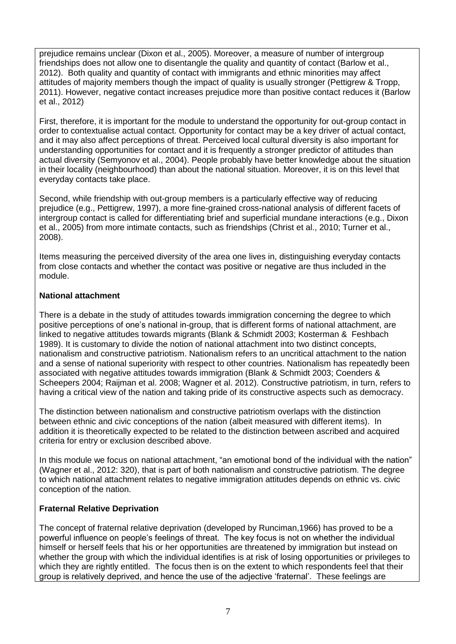prejudice remains unclear (Dixon et al., 2005). Moreover, a measure of number of intergroup friendships does not allow one to disentangle the quality and quantity of contact (Barlow et al., 2012). Both quality and quantity of contact with immigrants and ethnic minorities may affect attitudes of majority members though the impact of quality is usually stronger (Pettigrew & Tropp, 2011). However, negative contact increases prejudice more than positive contact reduces it (Barlow et al., 2012)

First, therefore, it is important for the module to understand the opportunity for out-group contact in order to contextualise actual contact. Opportunity for contact may be a key driver of actual contact, and it may also affect perceptions of threat. Perceived local cultural diversity is also important for understanding opportunities for contact and it is frequently a stronger predictor of attitudes than actual diversity (Semyonov et al., 2004). People probably have better knowledge about the situation in their locality (neighbourhood) than about the national situation. Moreover, it is on this level that everyday contacts take place.

Second, while friendship with out-group members is a particularly effective way of reducing prejudice (e.g., Pettigrew, 1997), a more fine-grained cross-national analysis of different facets of intergroup contact is called for differentiating brief and superficial mundane interactions (e.g., Dixon et al., 2005) from more intimate contacts, such as friendships (Christ et al., 2010; Turner et al., 2008).

Items measuring the perceived diversity of the area one lives in, distinguishing everyday contacts from close contacts and whether the contact was positive or negative are thus included in the module.

## **National attachment**

There is a debate in the study of attitudes towards immigration concerning the degree to which positive perceptions of one's national in-group, that is different forms of national attachment, are linked to negative attitudes towards migrants (Blank & Schmidt 2003; Kosterman & Feshbach 1989). It is customary to divide the notion of national attachment into two distinct concepts, nationalism and constructive patriotism. Nationalism refers to an uncritical attachment to the nation and a sense of national superiority with respect to other countries. Nationalism has repeatedly been associated with negative attitudes towards immigration (Blank & Schmidt 2003; Coenders & Scheepers 2004; Raijman et al. 2008; Wagner et al. 2012). Constructive patriotism, in turn, refers to having a critical view of the nation and taking pride of its constructive aspects such as democracy.

The distinction between nationalism and constructive patriotism overlaps with the distinction between ethnic and civic conceptions of the nation (albeit measured with different items). In addition it is theoretically expected to be related to the distinction between ascribed and acquired criteria for entry or exclusion described above.

In this module we focus on national attachment, "an emotional bond of the individual with the nation" (Wagner et al., 2012: 320), that is part of both nationalism and constructive patriotism. The degree to which national attachment relates to negative immigration attitudes depends on ethnic vs. civic conception of the nation.

## **Fraternal Relative Deprivation**

The concept of fraternal relative deprivation (developed by Runciman,1966) has proved to be a powerful influence on people's feelings of threat. The key focus is not on whether the individual himself or herself feels that his or her opportunities are threatened by immigration but instead on whether the group with which the individual identifies is at risk of losing opportunities or privileges to which they are rightly entitled. The focus then is on the extent to which respondents feel that their group is relatively deprived, and hence the use of the adjective 'fraternal'. These feelings are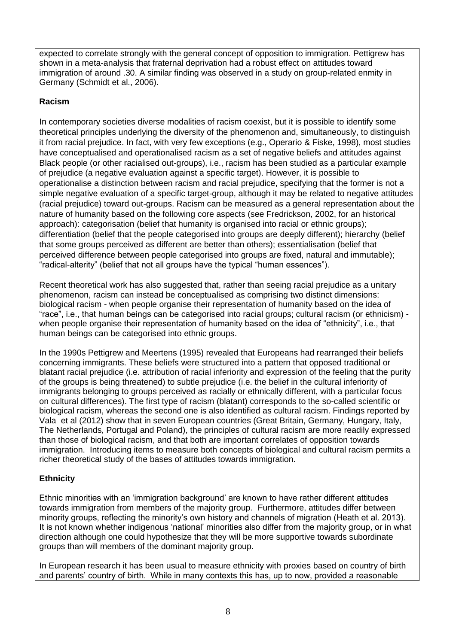expected to correlate strongly with the general concept of opposition to immigration. Pettigrew has shown in a meta-analysis that fraternal deprivation had a robust effect on attitudes toward immigration of around .30. A similar finding was observed in a study on group-related enmity in Germany (Schmidt et al., 2006).

## **Racism**

In contemporary societies diverse modalities of racism coexist, but it is possible to identify some theoretical principles underlying the diversity of the phenomenon and, simultaneously, to distinguish it from racial prejudice. In fact, with very few exceptions (e.g., Operario & Fiske, 1998), most studies have conceptualised and operationalised racism as a set of negative beliefs and attitudes against Black people (or other racialised out-groups), i.e., racism has been studied as a particular example of prejudice (a negative evaluation against a specific target). However, it is possible to operationalise a distinction between racism and racial prejudice, specifying that the former is not a simple negative evaluation of a specific target-group, although it may be related to negative attitudes (racial prejudice) toward out-groups. Racism can be measured as a general representation about the nature of humanity based on the following core aspects (see Fredrickson, 2002, for an historical approach): categorisation (belief that humanity is organised into racial or ethnic groups); differentiation (belief that the people categorised into groups are deeply different); hierarchy (belief that some groups perceived as different are better than others); essentialisation (belief that perceived difference between people categorised into groups are fixed, natural and immutable); "radical-alterity" (belief that not all groups have the typical "human essences").

Recent theoretical work has also suggested that, rather than seeing racial prejudice as a unitary phenomenon, racism can instead be conceptualised as comprising two distinct dimensions: biological racism - when people organise their representation of humanity based on the idea of "race", i.e., that human beings can be categorised into racial groups; cultural racism (or ethnicism) when people organise their representation of humanity based on the idea of "ethnicity", i.e., that human beings can be categorised into ethnic groups.

In the 1990s Pettigrew and Meertens (1995) revealed that Europeans had rearranged their beliefs concerning immigrants. These beliefs were structured into a pattern that opposed traditional or blatant racial prejudice (i.e. attribution of racial inferiority and expression of the feeling that the purity of the groups is being threatened) to subtle prejudice (i.e. the belief in the cultural inferiority of immigrants belonging to groups perceived as racially or ethnically different, with a particular focus on cultural differences). The first type of racism (blatant) corresponds to the so-called scientific or biological racism, whereas the second one is also identified as cultural racism. Findings reported by Vala et al (2012) show that in seven European countries (Great Britain, Germany, Hungary, Italy, The Netherlands, Portugal and Poland), the principles of cultural racism are more readily expressed than those of biological racism, and that both are important correlates of opposition towards immigration. Introducing items to measure both concepts of biological and cultural racism permits a richer theoretical study of the bases of attitudes towards immigration.

## **Ethnicity**

Ethnic minorities with an 'immigration background' are known to have rather different attitudes towards immigration from members of the majority group. Furthermore, attitudes differ between minority groups, reflecting the minority's own history and channels of migration (Heath et al. 2013). It is not known whether indigenous 'national' minorities also differ from the majority group, or in what direction although one could hypothesize that they will be more supportive towards subordinate groups than will members of the dominant majority group.

In European research it has been usual to measure ethnicity with proxies based on country of birth and parents' country of birth. While in many contexts this has, up to now, provided a reasonable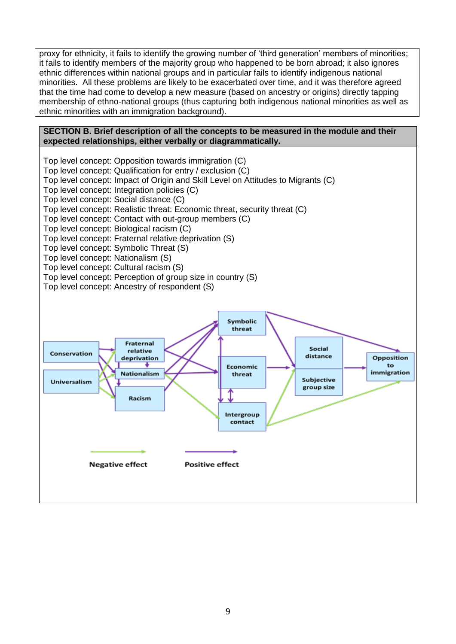proxy for ethnicity it fails to identify the growing number of 'third generation' members of minorities; it fails to identify members of the majority group who happened to be born abroad; it also ignores ethnic differences within national groups and in particular fails to identify indigenous national minorities. All these problems are likely to be exacerbated over time, and it was therefore agreed that the time had come to develop a new measure (based on ancestry or origins) directly tapping membership of ethno-national groups (thus capturing both indigenous national minorities as well as ethnic minorities with an immigration background).

#### <span id="page-8-0"></span>**SECTION B. Brief description of all the concepts to be measured in the module and their expected relationships, either verbally or diagrammatically.**

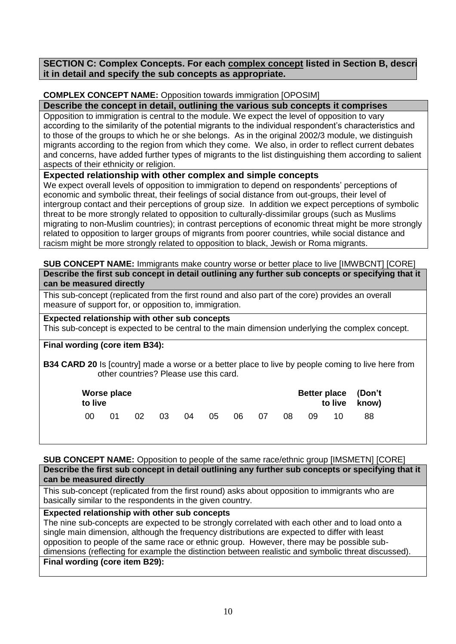<span id="page-9-0"></span>**SECTION C: Complex Concepts. For each complex concept listed in Section B, describe it in detail and specify the sub concepts as appropriate.** 

## <span id="page-9-1"></span>**COMPLEX CONCEPT NAME:** Opposition towards immigration [OPOSIM]

**Describe the concept in detail, outlining the various sub concepts it comprises**

Opposition to immigration is central to the module. We expect the level of opposition to vary according to the similarity of the potential migrants to the individual respondent's characteristics and to those of the groups to which he or she belongs. As in the original 2002/3 module, we distinguish migrants according to the region from which they come. We also, in order to reflect current debates and concerns, have added further types of migrants to the list distinguishing them according to salient aspects of their ethnicity or religion.

## **Expected relationship with other complex and simple concepts**

We expect overall levels of opposition to immigration to depend on respondents' perceptions of economic and symbolic threat, their feelings of social distance from out-groups, their level of intergroup contact and their perceptions of group size. In addition we expect perceptions of symbolic threat to be more strongly related to opposition to culturally-dissimilar groups (such as Muslims migrating to non-Muslim countries); in contrast perceptions of economic threat might be more strongly related to opposition to larger groups of migrants from poorer countries, while social distance and racism might be more strongly related to opposition to black, Jewish or Roma migrants.

<span id="page-9-2"></span>**SUB CONCEPT NAME:** Immigrants make country worse or better place to live [IMWBCNT] [CORE] **Describe the first sub concept in detail outlining any further sub concepts or specifying that it can be measured directly**

This sub-concept (replicated from the first round and also part of the core) provides an overall measure of support for, or opposition to, immigration.

## **Expected relationship with other sub concepts**

This sub-concept is expected to be central to the main dimension underlying the complex concept.

### **Final wording (core item B34):**

**B34 CARD 20** Is [country] made a worse or a better place to live by people coming to live here from other countries? Please use this card.

| Worse place<br>to live |     |    |      |      |       | Better place (Don't<br>to live know) |       |    |    |     |    |
|------------------------|-----|----|------|------|-------|--------------------------------------|-------|----|----|-----|----|
| -00                    | .O1 | 02 | - 03 | - 04 | $-05$ |                                      | 06 07 | 08 | 09 | 10. | 88 |

### <span id="page-9-3"></span>**SUB CONCEPT NAME:** Opposition to people of the same race/ethnic group [IMSMETN] [CORE]

| Describe the first sub concept in detail outlining any further sub concepts or specifying that it |  |  |  |  |
|---------------------------------------------------------------------------------------------------|--|--|--|--|
| can be measured directly                                                                          |  |  |  |  |

This sub-concept (replicated from the first round) asks about opposition to immigrants who are basically similar to the respondents in the given country.

### **Expected relationship with other sub concepts**

The nine sub-concepts are expected to be strongly correlated with each other and to load onto a single main dimension, although the frequency distributions are expected to differ with least opposition to people of the same race or ethnic group. However, there may be possible subdimensions (reflecting for example the distinction between realistic and symbolic threat discussed). **Final wording (core item B29):**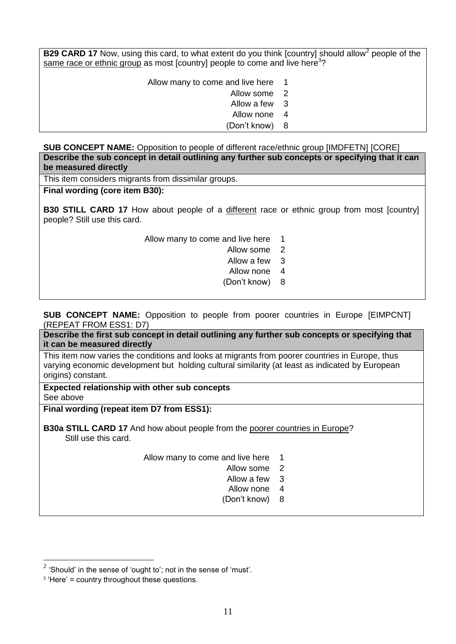**B29 CARD 17** Now, using this card, to what extent do you think [country] should allow<sup>2</sup> people of the same race or ethnic group as most [country] people to come and live here<sup>3</sup>?

Allow many to come and live here 1

Allow some 2

Allow a few 3

Allow none 4

Don't know) 8

<span id="page-10-0"></span>**SUB CONCEPT NAME:** Opposition to people of different race/ethnic group [IMDFETN] [CORE] **Describe the sub concept in detail outlining any further sub concepts or specifying that it can be measured directly**

This item considers migrants from dissimilar groups.

## **Final wording (core item B30):**

**B30 STILL CARD 17** How about people of a different race or ethnic group from most [country] people? Still use this card.

Allow many to come and live here 1

Allow some 2

Allow a few 3

Allow none 4

Don't know) 8

<span id="page-10-1"></span>**SUB CONCEPT NAME:** Opposition to people from poorer countries in Europe [EIMPCNT] (REPEAT FROM ESS1: D7)

**Describe the first sub concept in detail outlining any further sub concepts or specifying that it can be measured directly**

This item now varies the conditions and looks at migrants from poorer countries in Europe, thus varying economic development but holding cultural similarity (at least as indicated by European origins) constant.

**Expected relationship with other sub concepts** See above

**Final wording (repeat item D7 from ESS1):**

**B30a STILL CARD 17** And how about people from the poorer countries in Europe? Still use this card.

Allow many to come and live here 1

- Allow some 2
- Allow a few 3
- Allow none 4
- Don't know) 8

1

 $2$  'Should' in the sense of 'ought to'; not in the sense of 'must'.

<sup>3</sup> 'Here' = country throughout these questions.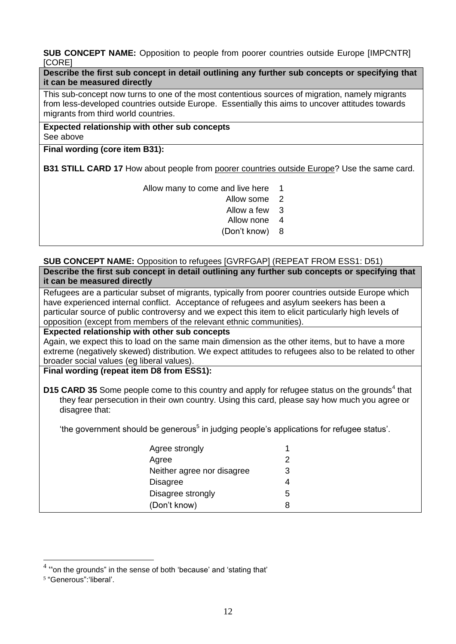<span id="page-11-0"></span>**SUB CONCEPT NAME:** Opposition to people from poorer countries outside Europe [IMPCNTR] [CORE]

**Describe the first sub concept in detail outlining any further sub concepts or specifying that it can be measured directly**

This sub-concept now turns to one of the most contentious sources of migration, namely migrants from less-developed countries outside Europe. Essentially this aims to uncover attitudes towards migrants from third world countries.

**Expected relationship with other sub concepts** See above

**Final wording (core item B31):**

**B31 STILL CARD 17** How about people from poorer countries outside Europe? Use the same card.

Allow many to come and live here 1

- Allow some 2
- Allow a few 3
- Allow none 4
- Don't know) 8

#### <span id="page-11-1"></span>**SUB CONCEPT NAME:** Opposition to refugees [GVRFGAP] (REPEAT FROM ESS1: D51) **Describe the first sub concept in detail outlining any further sub concepts or specifying that it can be measured directly**

Refugees are a particular subset of migrants, typically from poorer countries outside Europe which have experienced internal conflict. Acceptance of refugees and asylum seekers has been a particular source of public controversy and we expect this item to elicit particularly high levels of opposition (except from members of the relevant ethnic communities).

### **Expected relationship with other sub concepts**

Again, we expect this to load on the same main dimension as the other items, but to have a more extreme (negatively skewed) distribution. We expect attitudes to refugees also to be related to other broader social values (eg liberal values).

**Final wording (repeat item D8 from ESS1):**

D15 CARD 35 Some people come to this country and apply for refugee status on the grounds<sup>4</sup> that they fear persecution in their own country. Using this card, please say how much you agree or disagree that:

'the government should be generous<sup>5</sup> in judging people's applications for refugee status'.

| Agree strongly             |   |
|----------------------------|---|
| Agree                      | າ |
| Neither agree nor disagree | 3 |
| <b>Disagree</b>            | 4 |
| Disagree strongly          | 5 |
| (Don't know)               | 8 |

<span id="page-11-2"></span>1

 $4$  "on the grounds" in the sense of both 'because' and 'stating that'

<sup>5</sup> "Generous":'liberal'.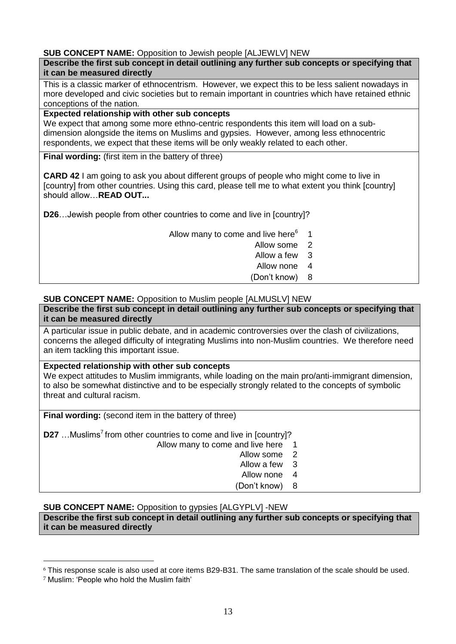### **SUB CONCEPT NAME:** Opposition to Jewish people [ALJEWLV] NEW

#### **Describe the first sub concept in detail outlining any further sub concepts or specifying that it can be measured directly**

This is a classic marker of ethnocentrism. However, we expect this to be less salient nowadays in more developed and civic societies but to remain important in countries which have retained ethnic conceptions of the nation.

### **Expected relationship with other sub concepts**

We expect that among some more ethno-centric respondents this item will load on a subdimension alongside the items on Muslims and gypsies. However, among less ethnocentric respondents, we expect that these items will be only weakly related to each other.

**Final wording:** (first item in the battery of three)

**CARD 42** I am going to ask you about different groups of people who might come to live in [country] from other countries. Using this card, please tell me to what extent you think [country] should allow…**READ OUT...**

**D26**…Jewish people from other countries to come and live in [country]?

Allow many to come and live here $6$ 1

- Allow some 2
- Allow a few 3
- Allow none 4
- Don't know) 8

### <span id="page-12-0"></span>**SUB CONCEPT NAME:** Opposition to Muslim people [ALMUSLV] NEW

**Describe the first sub concept in detail outlining any further sub concepts or specifying that it can be measured directly**

A particular issue in public debate, and in academic controversies over the clash of civilizations, concerns the alleged difficulty of integrating Muslims into non-Muslim countries. We therefore need an item tackling this important issue.

### **Expected relationship with other sub concepts**

We expect attitudes to Muslim immigrants, while loading on the main pro/anti-immigrant dimension, to also be somewhat distinctive and to be especially strongly related to the concepts of symbolic threat and cultural racism.

**Final wording:** (second item in the battery of three)

**D27** ... Muslims<sup>7</sup> from other countries to come and live in [country]?

- Allow many to come and live here 1
	- Allow some 2
	- Allow a few 3
	- Allow none 4
	- Don't know) 8

<span id="page-12-1"></span>**SUB CONCEPT NAME:** Opposition to gypsies [ALGYPLV] -NEW

**Describe the first sub concept in detail outlining any further sub concepts or specifying that it can be measured directly**

<u>.</u>

<sup>6</sup> This response scale is also used at core items B29-B31. The same translation of the scale should be used.

<sup>7</sup> Muslim: 'People who hold the Muslim faith'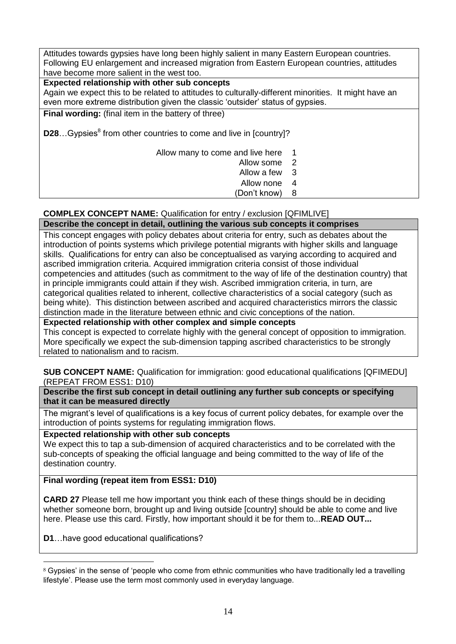Attitudes towards gypsies have long been highly salient in many Eastern European countries. Following EU enlargement and increased migration from Eastern European countries, attitudes have become more salient in the west too.

## **Expected relationship with other sub concepts**

Again we expect this to be related to attitudes to culturally-different minorities. It might have an even more extreme distribution given the classic 'outsider' status of gypsies.

**Final wording:** (final item in the battery of three)

**D28**...Gypsies<sup>8</sup> from other countries to come and live in [country]?

Allow many to come and live here 1

- Allow some 2
- Allow a few 3
- Allow none 4
- Don't know) 8

#### <span id="page-13-0"></span>**COMPLEX CONCEPT NAME:** Qualification for entry / exclusion [QFIMLIVE] **Describe the concept in detail, outlining the various sub concepts it comprises**

This concept engages with policy debates about criteria for entry, such as debates about the introduction of points systems which privilege potential migrants with higher skills and language skills. Qualifications for entry can also be conceptualised as varying according to acquired and ascribed immigration criteria. Acquired immigration criteria consist of those individual competencies and attitudes (such as commitment to the way of life of the destination country) that in principle immigrants could attain if they wish. Ascribed immigration criteria, in turn, are categorical qualities related to inherent, collective characteristics of a social category (such as being white). This distinction between ascribed and acquired characteristics mirrors the classic distinction made in the literature between ethnic and civic conceptions of the nation.

**Expected relationship with other complex and simple concepts**

This concept is expected to correlate highly with the general concept of opposition to immigration. More specifically we expect the sub-dimension tapping ascribed characteristics to be strongly related to nationalism and to racism.

### <span id="page-13-1"></span>**SUB CONCEPT NAME:** Qualification for immigration: good educational qualifications [QFIMEDU] (REPEAT FROM ESS1: D10)

**Describe the first sub concept in detail outlining any further sub concepts or specifying that it can be measured directly**

The migrant's level of qualifications is a key focus of current policy debates, for example over the introduction of points systems for regulating immigration flows.

**Expected relationship with other sub concepts**

We expect this to tap a sub-dimension of acquired characteristics and to be correlated with the sub-concepts of speaking the official language and being committed to the way of life of the destination country.

**Final wording (repeat item from ESS1: D10)**

**CARD 27** Please tell me how important you think each of these things should be in deciding whether someone born, brought up and living outside [country] should be able to come and live here. Please use this card. Firstly, how important should it be for them to...**READ OUT...**

**D1**…have good educational qualifications?

1

<sup>&</sup>lt;sup>8</sup> Gypsies' in the sense of 'people who come from ethnic communities who have traditionally led a travelling lifestyle'. Please use the term most commonly used in everyday language.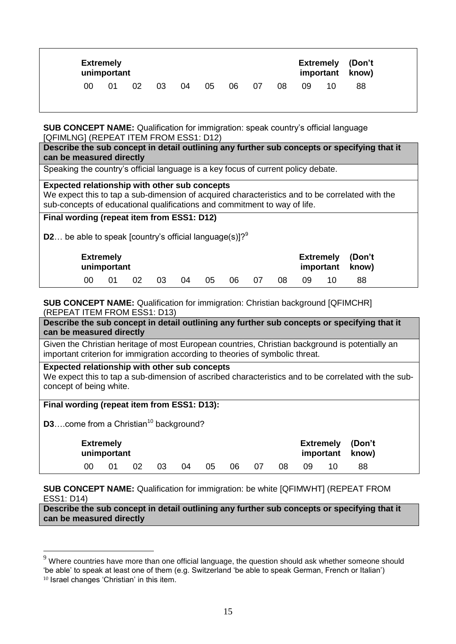|    | <b>Extremely</b><br>unimportant |    |    |    |    |    |    |    |    |    | <b>Extremely (Don't</b><br>important know) |
|----|---------------------------------|----|----|----|----|----|----|----|----|----|--------------------------------------------|
| 00 | 01                              | 02 | 03 | 04 | 05 | 06 | 07 | 08 | 09 | 10 | 88                                         |

<span id="page-14-0"></span>**SUB CONCEPT NAME:** Qualification for immigration: speak country's official language [QFIMLNG] (REPEAT ITEM FROM ESS1: D12)

**Describe the sub concept in detail outlining any further sub concepts or specifying that it can be measured directly**

Speaking the country's official language is a key focus of current policy debate.

#### **Expected relationship with other sub concepts**

We expect this to tap a sub-dimension of acquired characteristics and to be correlated with the sub-concepts of educational qualifications and commitment to way of life.

### **Final wording (repeat item from ESS1: D12)**

**D2**... be able to speak [country's official language(s)]? $9^9$ 

| <b>Extremely</b> | unimportant |     |    |    |    |    |    |    |    | <b>Extremely (Don't</b><br>important know) |  |
|------------------|-------------|-----|----|----|----|----|----|----|----|--------------------------------------------|--|
| 00               |             | -02 | 03 | 04 | 05 | 06 | 07 | 08 | 09 | 88                                         |  |

#### <span id="page-14-1"></span>**SUB CONCEPT NAME:** Qualification for immigration: Christian background [QFIMCHR] (REPEAT ITEM FROM ESS1: D13)

**Describe the sub concept in detail outlining any further sub concepts or specifying that it can be measured directly**

Given the Christian heritage of most European countries, Christian background is potentially an important criterion for immigration according to theories of symbolic threat.

#### **Expected relationship with other sub concepts**

We expect this to tap a sub-dimension of ascribed characteristics and to be correlated with the subconcept of being white.

# **Final wording (repeat item from ESS1: D13):**

**D3**….come from a Christian<sup>10</sup> background?

<u>.</u>

| <b>Extremely</b><br>unimportant |    |    |    |    |    |    |    |     | <b>Extremely (Don't</b><br>important know) |  |
|---------------------------------|----|----|----|----|----|----|----|-----|--------------------------------------------|--|
| ΩO                              | 02 | 03 | 04 | 05 | 06 | 07 | 08 | 09. | 88                                         |  |

### <span id="page-14-2"></span>**SUB CONCEPT NAME:** Qualification for immigration: be white [QFIMWHT] (REPEAT FROM ESS1: D14)

**Describe the sub concept in detail outlining any further sub concepts or specifying that it can be measured directly**

 $9$  Where countries have more than one official language, the question should ask whether someone should 'be able' to speak at least one of them (e.g. Switzerland 'be able to speak German, French or Italian') <sup>10</sup> Israel changes 'Christian' in this item.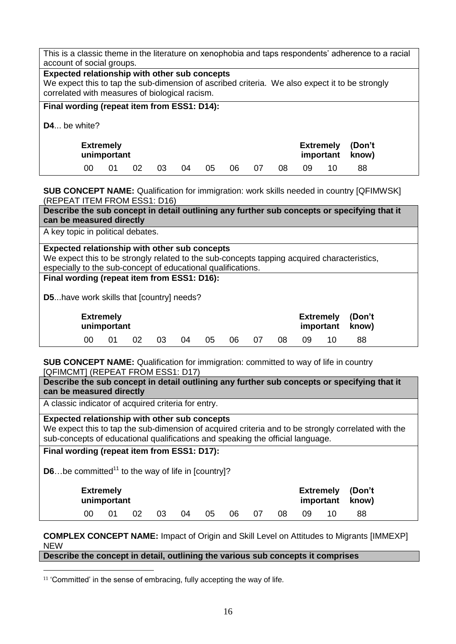|                                                                                     | This is a classic theme in the literature on xenophobia and taps respondents' adherence to a racial<br>account of social groups.                                                                  |    |    |    |    |    |    |    |    |    |    |    |  |
|-------------------------------------------------------------------------------------|---------------------------------------------------------------------------------------------------------------------------------------------------------------------------------------------------|----|----|----|----|----|----|----|----|----|----|----|--|
|                                                                                     | Expected relationship with other sub concepts<br>We expect this to tap the sub-dimension of ascribed criteria. We also expect it to be strongly<br>correlated with measures of biological racism. |    |    |    |    |    |    |    |    |    |    |    |  |
| Final wording (repeat item from ESS1: D14):                                         |                                                                                                                                                                                                   |    |    |    |    |    |    |    |    |    |    |    |  |
|                                                                                     | $D4$ be white?                                                                                                                                                                                    |    |    |    |    |    |    |    |    |    |    |    |  |
| <b>Extremely</b><br>(Don't<br><b>Extremely</b><br>unimportant<br>important<br>know) |                                                                                                                                                                                                   |    |    |    |    |    |    |    |    |    |    |    |  |
|                                                                                     | 00                                                                                                                                                                                                | 01 | 02 | 03 | 04 | 05 | 06 | 07 | 08 | 09 | 10 | 88 |  |

<span id="page-15-0"></span>**SUB CONCEPT NAME:** Qualification for immigration: work skills needed in country [QFIMWSK] (REPEAT ITEM FROM ESS1: D16)

**Describe the sub concept in detail outlining any further sub concepts or specifying that it can be measured directly**

A key topic in political debates.

**Expected relationship with other sub concepts**

We expect this to be strongly related to the sub-concepts tapping acquired characteristics, especially to the sub-concept of educational qualifications.

#### **Final wording (repeat item from ESS1: D16):**

**D5**...have work skills that [country] needs?

| <b>Extremely</b> | unimportant |     |    | <b>Extremely (Don't</b><br>important know) |    |    |      |     |  |    |  |
|------------------|-------------|-----|----|--------------------------------------------|----|----|------|-----|--|----|--|
| 00 <sup>2</sup>  |             | -02 | 03 | 04                                         | 05 | 06 | - 07 | 08. |  | 88 |  |

<span id="page-15-1"></span>**SUB CONCEPT NAME:** Qualification for immigration: committed to way of life in country [QFIMCMT] (REPEAT FROM ESS1: D17)

**Describe the sub concept in detail outlining any further sub concepts or specifying that it can be measured directly**

A classic indicator of acquired criteria for entry.

### **Expected relationship with other sub concepts**

We expect this to tap the sub-dimension of acquired criteria and to be strongly correlated with the sub-concepts of educational qualifications and speaking the official language.

**Final wording (repeat item from ESS1: D17):**

<u>.</u>

**D6**...be committed<sup>11</sup> to the way of life in [country]?

| <b>Extremely</b><br>unimportant |  |    |    |    |    |     |    |     |    |  | <b>Extremely (Don't</b><br>important know) |  |
|---------------------------------|--|----|----|----|----|-----|----|-----|----|--|--------------------------------------------|--|
| 00                              |  | 02 | 03 | 04 | 05 | -06 | 07 | 08. | 09 |  | 88                                         |  |

<span id="page-15-2"></span>**COMPLEX CONCEPT NAME:** Impact of Origin and Skill Level on Attitudes to Migrants [IMMEXP] NEW

**Describe the concept in detail, outlining the various sub concepts it comprises**

<sup>11</sup> 'Committed' in the sense of embracing, fully accepting the way of life*.*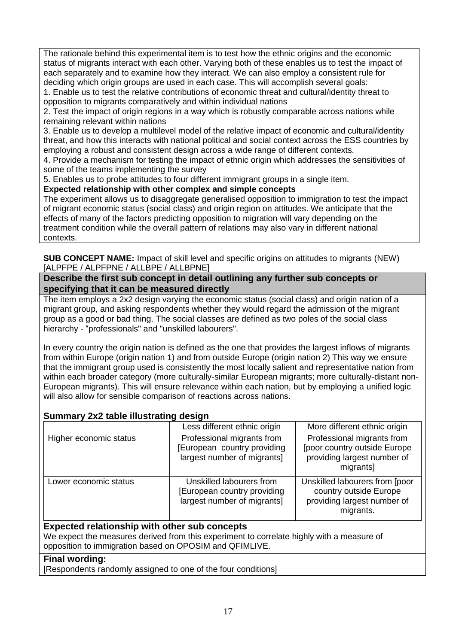The rationale behind this experimental item is to test how the ethnic origins and the economic status of migrants interact with each other. Varying both of these enables us to test the impact of each separately and to examine how they interact. We can also employ a consistent rule for deciding which origin groups are used in each case. This will accomplish several goals:

1. Enable us to test the relative contributions of economic threat and cultural/identity threat to opposition to migrants comparatively and within individual nations

2. Test the impact of origin regions in a way which is robustly comparable across nations while remaining relevant within nations

3. Enable us to develop a multilevel model of the relative impact of economic and cultural/identity threat, and how this interacts with national political and social context across the ESS countries by employing a robust and consistent design across a wide range of different contexts.

4. Provide a mechanism for testing the impact of ethnic origin which addresses the sensitivities of some of the teams implementing the survey

5. Enables us to probe attitudes to four different immigrant groups in a single item.

**Expected relationship with other complex and simple concepts**

The experiment allows us to disaggregate generalised opposition to immigration to test the impact of migrant economic status (social class) and origin region on attitudes. We anticipate that the effects of many of the factors predicting opposition to migration will vary depending on the treatment condition while the overall pattern of relations may also vary in different national contexts.

<span id="page-16-0"></span>**SUB CONCEPT NAME:** Impact of skill level and specific origins on attitudes to migrants (NEW) [ALPFPE / ALPFPNE / ALLBPE / ALLBPNE]

## **Describe the first sub concept in detail outlining any further sub concepts or specifying that it can be measured directly**

The item employs a 2x2 design varying the economic status (social class) and origin nation of a migrant group, and asking respondents whether they would regard the admission of the migrant group as a good or bad thing. The social classes are defined as two poles of the social class hierarchy - "professionals" and "unskilled labourers".

In every country the origin nation is defined as the one that provides the largest inflows of migrants from within Europe (origin nation 1) and from outside Europe (origin nation 2) This way we ensure that the immigrant group used is consistently the most locally salient and representative nation from within each broader category (more culturally-similar European migrants; more culturally-distant non-European migrants). This will ensure relevance within each nation, but by employing a unified logic will also allow for sensible comparison of reactions across nations.

## **Summary 2x2 table illustrating design**

|                        | Less different ethnic origin                                                             | More different ethnic origin                                                                           |
|------------------------|------------------------------------------------------------------------------------------|--------------------------------------------------------------------------------------------------------|
| Higher economic status | Professional migrants from<br>[European country providing<br>largest number of migrants] | Professional migrants from<br>[poor country outside Europe<br>providing largest number of<br>migrants] |
| Lower economic status  | Unskilled labourers from<br>[European country providing]<br>largest number of migrants]  | Unskilled labourers from [poor<br>country outside Europe<br>providing largest number of<br>migrants.   |

## **Expected relationship with other sub concepts**

We expect the measures derived from this experiment to correlate highly with a measure of opposition to immigration based on OPOSIM and QFIMLIVE.

## **Final wording:**

[Respondents randomly assigned to one of the four conditions]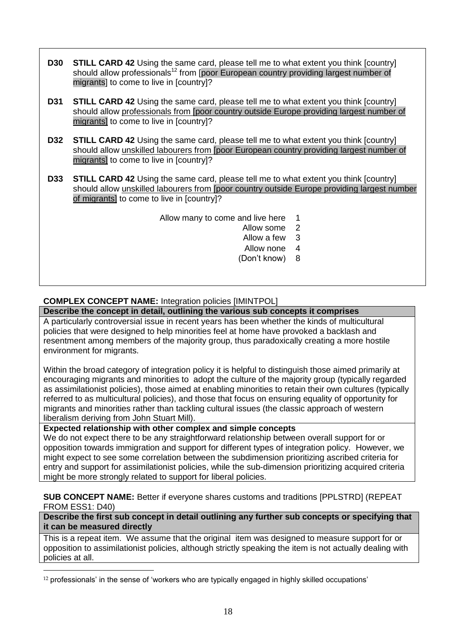- **D30 STILL CARD 42** Using the same card, please tell me to what extent you think [country] should allow professionals<sup>12</sup> from [poor European country providing largest number of migrants] to come to live in [country]?
- **D31 STILL CARD 42** Using the same card, please tell me to what extent you think [country] should allow professionals from [poor country outside Europe providing largest number of migrants] to come to live in [country]?
- **D32 STILL CARD 42** Using the same card, please tell me to what extent you think [country] should allow unskilled labourers from [poor European country providing largest number of migrants] to come to live in [country]?
- **D33 STILL CARD 42** Using the same card, please tell me to what extent you think [country] should allow unskilled labourers from [poor country outside Europe providing largest number of migrants] to come to live in [country]?

Allow many to come and live here 1

- Allow some 2
- Allow a few 3
- Allow none 4
- Don't know) 8

## <span id="page-17-0"></span>**COMPLEX CONCEPT NAME:** Integration policies [IMINTPOL]

**Describe the concept in detail, outlining the various sub concepts it comprises**

A particularly controversial issue in recent years has been whether the kinds of multicultural policies that were designed to help minorities feel at home have provoked a backlash and resentment among members of the majority group, thus paradoxically creating a more hostile environment for migrants.

Within the broad category of integration policy it is helpful to distinguish those aimed primarily at encouraging migrants and minorities to adopt the culture of the majority group (typically regarded as assimilationist policies), those aimed at enabling minorities to retain their own cultures (typically referred to as multicultural policies), and those that focus on ensuring equality of opportunity for migrants and minorities rather than tackling cultural issues (the classic approach of western liberalism deriving from John Stuart Mill).

**Expected relationship with other complex and simple concepts**

<u>.</u>

We do not expect there to be any straightforward relationship between overall support for or opposition towards immigration and support for different types of integration policy. However, we might expect to see some correlation between the subdimension prioritizing ascribed criteria for entry and support for assimilationist policies, while the sub-dimension prioritizing acquired criteria might be more strongly related to support for liberal policies.

<span id="page-17-1"></span>**SUB CONCEPT NAME:** Better if everyone shares customs and traditions [PPLSTRD] (REPEAT FROM ESS1: D40)

**Describe the first sub concept in detail outlining any further sub concepts or specifying that it can be measured directly**

This is a repeat item. We assume that the original item was designed to measure support for or opposition to assimilationist policies, although strictly speaking the item is not actually dealing with policies at all.

<sup>12</sup> professionals' in the sense of 'workers who are typically engaged in highly skilled occupations'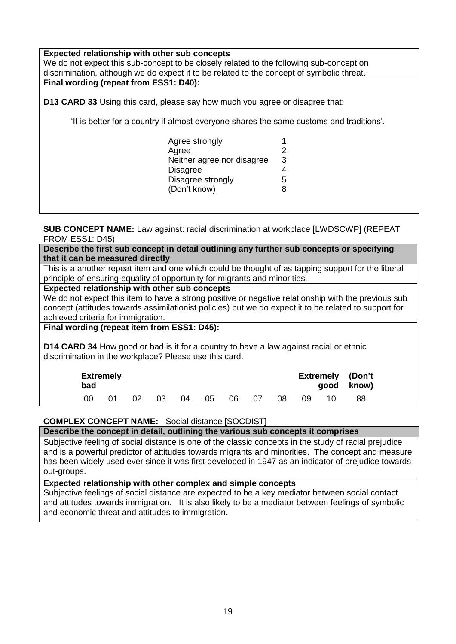**Expected relationship with other sub concepts** We do not expect this sub-concept to be closely related to the following sub-concept on discrimination, although we do expect it to be related to the concept of symbolic threat. **Final wording (repeat from ESS1: D40): D13 CARD 33** Using this card, please say how much you agree or disagree that: 'It is better for a country if almost everyone shares the same customs and traditions'. Agree strongly 1 Agree 2<br>Neither agree nor disagree 3 Neither agree nor disagree Disagree 4<br>Disagree strongly 5 Disagree strongly 5 Don't know) 8

<span id="page-18-0"></span>**SUB CONCEPT NAME:** Law against: racial discrimination at workplace [LWDSCWP] (REPEAT FROM ESS1: D45)

**Describe the first sub concept in detail outlining any further sub concepts or specifying that it can be measured directly**

This is a another repeat item and one which could be thought of as tapping support for the liberal principle of ensuring equality of opportunity for migrants and minorities.

#### **Expected relationship with other sub concepts**

We do not expect this item to have a strong positive or negative relationship with the previous sub concept (attitudes towards assimilationist policies) but we do expect it to be related to support for achieved criteria for immigration.

## **Final wording (repeat item from ESS1: D45):**

**D14 CARD 34** How good or bad is it for a country to have a law against racial or ethnic discrimination in the workplace? Please use this card.

| <b>Extremely</b><br>bad |    |    |    |          |  |    |    |     | <b>Extremely (Don't</b><br>good know) |
|-------------------------|----|----|----|----------|--|----|----|-----|---------------------------------------|
| 00                      | 02 | 03 | 04 | 05 06 07 |  | 08 | 09 | 10. | 88                                    |

### <span id="page-18-1"></span>**COMPLEX CONCEPT NAME:** Social distance [SOCDIST]

#### **Describe the concept in detail, outlining the various sub concepts it comprises**

Subjective feeling of social distance is one of the classic concepts in the study of racial prejudice and is a powerful predictor of attitudes towards migrants and minorities. The concept and measure has been widely used ever since it was first developed in 1947 as an indicator of prejudice towards out-groups.

#### **Expected relationship with other complex and simple concepts**

Subjective feelings of social distance are expected to be a key mediator between social contact and attitudes towards immigration. It is also likely to be a mediator between feelings of symbolic and economic threat and attitudes to immigration.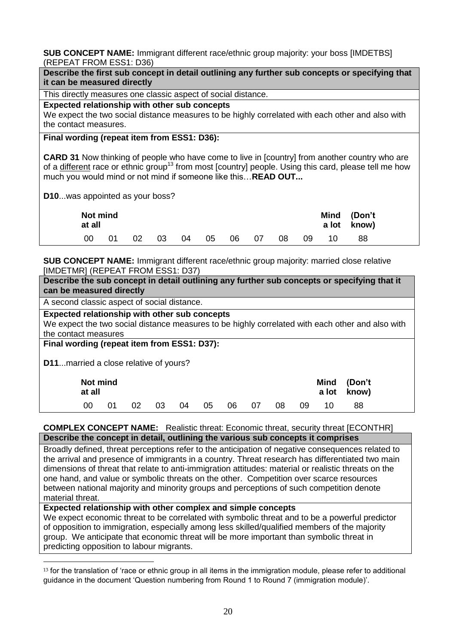<span id="page-19-0"></span>**SUB CONCEPT NAME:** Immigrant different race/ethnic group majority: your boss [IMDETBS] (REPEAT FROM ESS1: D36)

| Describe the first sub concept in detail outlining any further sub concepts or specifying that<br>it can be measured directly                                                                                                                                                               |  |  |  |  |  |  |  |  |
|---------------------------------------------------------------------------------------------------------------------------------------------------------------------------------------------------------------------------------------------------------------------------------------------|--|--|--|--|--|--|--|--|
| This directly measures one classic aspect of social distance.                                                                                                                                                                                                                               |  |  |  |  |  |  |  |  |
| Expected relationship with other sub concepts<br>We expect the two social distance measures to be highly correlated with each other and also with<br>the contact measures.                                                                                                                  |  |  |  |  |  |  |  |  |
| Final wording (repeat item from ESS1: D36):                                                                                                                                                                                                                                                 |  |  |  |  |  |  |  |  |
| <b>CARD 31</b> Now thinking of people who have come to live in [country] from another country who are<br>of a different race or ethnic group <sup>13</sup> from most [country] people. Using this card, please tell me how<br>much you would mind or not mind if someone like this READ OUT |  |  |  |  |  |  |  |  |
| <b>D10was appointed as your boss?</b>                                                                                                                                                                                                                                                       |  |  |  |  |  |  |  |  |
| Not mind<br><b>Mind</b><br>(Don't<br>at all<br>a lot<br>know)                                                                                                                                                                                                                               |  |  |  |  |  |  |  |  |

<span id="page-19-1"></span>**SUB CONCEPT NAME:** Immigrant different race/ethnic group majority: married close relative [IMDETMR] (REPEAT FROM ESS1: D37)

**Describe the sub concept in detail outlining any further sub concepts or specifying that it can be measured directly**

00 01 02 03 04 05 06 07 08 09 10 88

A second classic aspect of social distance.

**Expected relationship with other sub concepts**

We expect the two social distance measures to be highly correlated with each other and also with the contact measures

**Final wording (repeat item from ESS1: D37):**

**D11**...married a close relative of yours?

1

|     | Not mind<br>at all |  |          |  |    |  |       |      |      | Mind (Don't<br>a lot know) |    |  |
|-----|--------------------|--|----------|--|----|--|-------|------|------|----------------------------|----|--|
| -00 | O1                 |  | 02 03 04 |  | 05 |  | 06 07 | - 08 | - 09 | 10.                        | 88 |  |

#### <span id="page-19-2"></span>**COMPLEX CONCEPT NAME:** Realistic threat: Economic threat, security threat [ECONTHR] **Describe the concept in detail, outlining the various sub concepts it comprises**

Broadly defined, threat perceptions refer to the anticipation of negative consequences related to the arrival and presence of immigrants in a country. Threat research has differentiated two main dimensions of threat that relate to anti-immigration attitudes: material or realistic threats on the one hand, and value or symbolic threats on the other. Competition over scarce resources between national majority and minority groups and perceptions of such competition denote material threat.

**Expected relationship with other complex and simple concepts**

We expect economic threat to be correlated with symbolic threat and to be a powerful predictor of opposition to immigration, especially among less skilled/qualified members of the majority group. We anticipate that economic threat will be more important than symbolic threat in predicting opposition to labour migrants.

 $13$  for the translation of 'race or ethnic group in all items in the immigration module, please refer to additional guidance in the document 'Question numbering from Round 1 to Round 7 immigration module)'.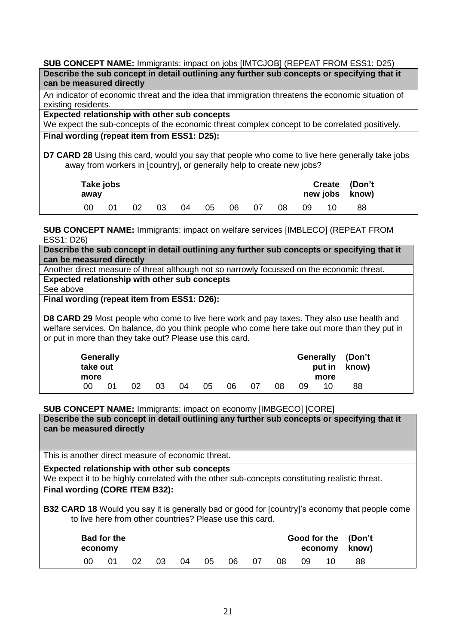<span id="page-20-0"></span>**SUB CONCEPT NAME:** Immigrants: impact on jobs [IMTCJOB] (REPEAT FROM ESS1: D25) **Describe the sub concept in detail outlining any further sub concepts or specifying that it can be measured directly**

An indicator of economic threat and the idea that immigration threatens the economic situation of existing residents.

**Expected relationship with other sub concepts**

We expect the sub-concepts of the economic threat complex concept to be correlated positively. **Final wording (repeat item from ESS1: D25):**

**D7 CARD 28** Using this card, would you say that people who come to live here generally take jobs away from workers in [country], or generally help to create new jobs?

| away | Take jobs |    |    |      |    |    |     |    |    | Create (Don't<br>new jobs know) |  |
|------|-----------|----|----|------|----|----|-----|----|----|---------------------------------|--|
| 00   |           | 02 | 03 | - 04 | 05 | 06 | -07 | 08 | 09 |                                 |  |

<span id="page-20-1"></span>**SUB CONCEPT NAME:** Immigrants: impact on welfare services [IMBLECO] (REPEAT FROM ESS1: D26)

**Describe the sub concept in detail outlining any further sub concepts or specifying that it can be measured directly**

Another direct measure of threat although not so narrowly focussed on the economic threat. **Expected relationship with other sub concepts**

See above

**Final wording (repeat item from ESS1: D26):**

**D8 CARD 29** Most people who come to live here work and pay taxes. They also use health and welfare services. On balance, do you think people who come here take out more than they put in or put in more than they take out? Please use this card.

|      | <b>Generally</b><br>take out |    |    |    |    |    |    |    |    |      | Generally (Don't<br>put in know) |  |
|------|------------------------------|----|----|----|----|----|----|----|----|------|----------------------------------|--|
| more |                              |    |    |    |    |    |    |    |    | more |                                  |  |
| იი   | 01                           | 02 | 03 | 04 | 05 | 06 | 07 | 08 | 09 | 10   | 88                               |  |

<span id="page-20-2"></span>**SUB CONCEPT NAME:** Immigrants: impact on economy [IMBGECO] [CORE]

**Describe the sub concept in detail outlining any further sub concepts or specifying that it can be measured directly**

This is another direct measure of economic threat.

**Expected relationship with other sub concepts**

We expect it to be highly correlated with the other sub-concepts constituting realistic threat.

## **Final wording (CORE ITEM B32):**

**B32 CARD 18** Would you say it is generally bad or good for [country]'s economy that people come to live here from other countries? Please use this card.

| <b>Bad for the</b><br>economy |  |    |     |    |    |    |    |    |     |     | Good for the (Don't<br>economy know) |  |
|-------------------------------|--|----|-----|----|----|----|----|----|-----|-----|--------------------------------------|--|
| იი                            |  | 02 | 03. | 04 | 05 | 06 | 07 | 08 | -09 | 10. | 88                                   |  |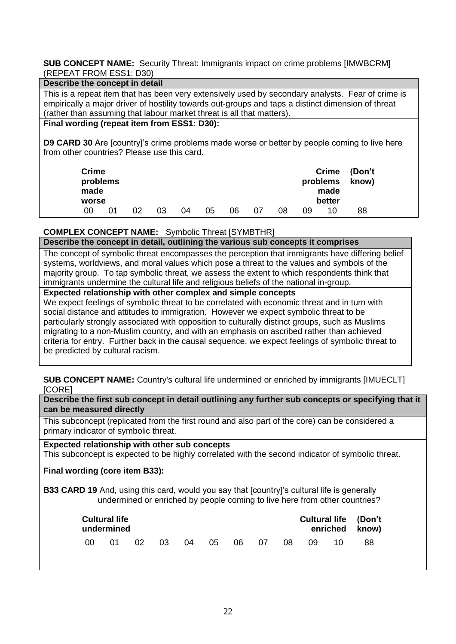#### <span id="page-21-0"></span>**SUB CONCEPT NAME:** Security Threat: Immigrants impact on crime problems [IMWBCRM] (REPEAT FROM ESS1: D30)

#### **Describe the concept in detail**

This is a repeat item that has been very extensively used by secondary analysts. Fear of crime is empirically a major driver of hostility towards out-groups and taps a distinct dimension of threat (rather than assuming that labour market threat is all that matters).

## **Final wording (repeat item from ESS1: D30):**

**D9 CARD 30** Are [country]'s crime problems made worse or better by people coming to live here from other countries? Please use this card.

| <b>Crime</b><br>problems<br>made<br>worse |    |    |    |    |    |    |    |    |    | problems<br>made<br>better | Crime (Don't<br>know) |  |
|-------------------------------------------|----|----|----|----|----|----|----|----|----|----------------------------|-----------------------|--|
| 00                                        | 01 | 02 | 03 | 04 | 05 | 06 | 07 | 08 | 09 | 10                         | 88                    |  |

## <span id="page-21-1"></span>**COMPLEX CONCEPT NAME:** Symbolic Threat [SYMBTHR]

**Describe the concept in detail, outlining the various sub concepts it comprises**

The concept of symbolic threat encompasses the perception that immigrants have differing belief systems, worldviews, and moral values which pose a threat to the values and symbols of the majority group. To tap symbolic threat, we assess the extent to which respondents think that immigrants undermine the cultural life and religious beliefs of the national in-group.

## **Expected relationship with other complex and simple concepts**

We expect feelings of symbolic threat to be correlated with economic threat and in turn with social distance and attitudes to immigration. However we expect symbolic threat to be particularly strongly associated with opposition to culturally distinct groups, such as Muslims migrating to a non-Muslim country, and with an emphasis on ascribed rather than achieved criteria for entry. Further back in the causal sequence, we expect feelings of symbolic threat to be predicted by cultural racism.

<span id="page-21-2"></span>**SUB CONCEPT NAME:** Country's cultural life undermined or enriched by immigrants [IMUECLT] [CORE]

**Describe the first sub concept in detail outlining any further sub concepts or specifying that it can be measured directly**

This subconcept (replicated from the first round and also part of the core) can be considered a primary indicator of symbolic threat.

**Expected relationship with other sub concepts** This subconcept is expected to be highly correlated with the second indicator of symbolic threat.

### **Final wording (core item B33):**

**B33 CARD 19** And, using this card, would you say that [country]'s cultural life is generally undermined or enriched by people coming to live here from other countries?

|    | <b>Cultural life</b><br><b>Cultural life (Don't</b><br>enriched know)<br>undermined |    |  |          |  |  |       |      |      |      |     |
|----|-------------------------------------------------------------------------------------|----|--|----------|--|--|-------|------|------|------|-----|
| ററ | . በ1                                                                                | 02 |  | 03 04 05 |  |  | 06 07 | 08 L | 09 L | 10 I | -88 |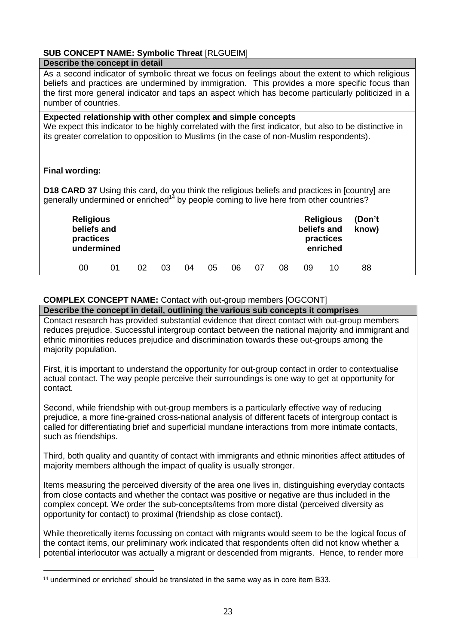# <span id="page-22-0"></span>**SUB CONCEPT NAME: Symbolic Threat** [RLGUEIM]

| Describe the concept in detail                                                                                                                                                                                                                                                                                                   |  |  |  |  |  |  |  |  |  |  |
|----------------------------------------------------------------------------------------------------------------------------------------------------------------------------------------------------------------------------------------------------------------------------------------------------------------------------------|--|--|--|--|--|--|--|--|--|--|
| As a second indicator of symbolic threat we focus on feelings about the extent to which religious<br>beliefs and practices are undermined by immigration. This provides a more specific focus than<br>the first more general indicator and taps an aspect which has become particularly politicized in a<br>number of countries. |  |  |  |  |  |  |  |  |  |  |
| Expected relationship with other complex and simple concepts<br>We expect this indicator to be highly correlated with the first indicator, but also to be distinctive in<br>its greater correlation to opposition to Muslims (in the case of non-Muslim respondents).                                                            |  |  |  |  |  |  |  |  |  |  |
| <b>Final wording:</b>                                                                                                                                                                                                                                                                                                            |  |  |  |  |  |  |  |  |  |  |
| <b>D18 CARD 37</b> Using this card, do you think the religious beliefs and practices in [country] are<br>generally undermined or enriched <sup>14</sup> by people coming to live here from other countries?                                                                                                                      |  |  |  |  |  |  |  |  |  |  |
| (Don't<br><b>Religious</b><br><b>Religious</b><br>beliefs and<br>beliefs and<br>know)<br>practices<br>practices<br>undermined<br>enriched                                                                                                                                                                                        |  |  |  |  |  |  |  |  |  |  |
| 00<br>10<br>01<br>02<br>05<br>07<br>88<br>03<br>06<br>08<br>09<br>04                                                                                                                                                                                                                                                             |  |  |  |  |  |  |  |  |  |  |

### <span id="page-22-1"></span>**COMPLEX CONCEPT NAME:** Contact with out-group members [OGCONT]

**Describe the concept in detail, outlining the various sub concepts it comprises**

Contact research has provided substantial evidence that direct contact with out-group members reduces prejudice. Successful intergroup contact between the national majority and immigrant and ethnic minorities reduces prejudice and discrimination towards these out-groups among the majority population.

First, it is important to understand the opportunity for out-group contact in order to contextualise actual contact. The way people perceive their surroundings is one way to get at opportunity for contact.

Second, while friendship with out-group members is a particularly effective way of reducing prejudice, a more fine-grained cross-national analysis of different facets of intergroup contact is called for differentiating brief and superficial mundane interactions from more intimate contacts, such as friendships.

Third, both quality and quantity of contact with immigrants and ethnic minorities affect attitudes of majority members although the impact of quality is usually stronger.

Items measuring the perceived diversity of the area one lives in, distinguishing everyday contacts from close contacts and whether the contact was positive or negative are thus included in the complex concept. We order the sub-concepts/items from more distal (perceived diversity as opportunity for contact) to proximal (friendship as close contact).

While theoretically items focussing on contact with migrants would seem to be the logical focus of the contact items, our preliminary work indicated that respondents often did not know whether a potential interlocutor was actually a migrant or descended from migrants. Hence, to render more

<u>.</u>

<sup>&</sup>lt;sup>14</sup> undermined or enriched' should be translated in the same way as in core item B33.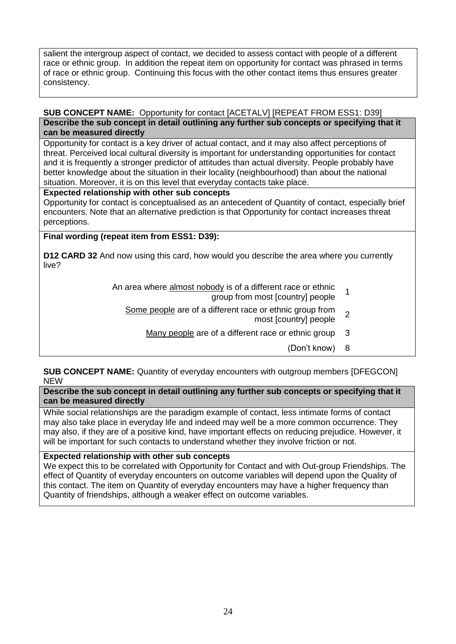salient the intergroup aspect of contact, we decided to assess contact with people of a different race or ethnic group. In addition the repeat item on opportunity for contact was phrased in terms of race or ethnic group. Continuing this focus with the other contact items thus ensures greater consistency.

#### <span id="page-23-0"></span>**SUB CONCEPT NAME:** Opportunity for contact [ACETALV] [REPEAT FROM ESS1: D39] **Describe the sub concept in detail outlining any further sub concepts or specifying that it can be measured directly**

Opportunity for contact is a key driver of actual contact, and it may also affect perceptions of threat. Perceived local cultural diversity is important for understanding opportunities for contact and it is frequently a stronger predictor of attitudes than actual diversity. People probably have better knowledge about the situation in their locality (neighbourhood) than about the national situation. Moreover, it is on this level that everyday contacts take place.

## **Expected relationship with other sub concepts**

Opportunity for contact is conceptualised as an antecedent of Quantity of contact, especially brief encounters. Note that an alternative prediction is that Opportunity for contact increases threat perceptions.

## **Final wording (repeat item from ESS1: D39):**

**D12 CARD 32** And now using this card, how would you describe the area where you currently live?

- An area where almost nobody is of a different race or ethnic <u>ody</u> is of a different race of eminic<br>group from most [country] people
	- Some people are of a different race or ethnic group from e or ennie group nom 2
		- Many people are of a different race or ethnic group 3
			- Don't know) 8

## <span id="page-23-1"></span>**SUB CONCEPT NAME:** Quantity of everyday encounters with outgroup members [DFEGCON] NEW

#### **Describe the sub concept in detail outlining any further sub concepts or specifying that it can be measured directly**

While social relationships are the paradigm example of contact, less intimate forms of contact may also take place in everyday life and indeed may well be a more common occurrence. They may also, if they are of a positive kind, have important effects on reducing prejudice. However, it will be important for such contacts to understand whether they involve friction or not.

### **Expected relationship with other sub concepts**

We expect this to be correlated with Opportunity for Contact and with Out-group Friendships. The effect of Quantity of everyday encounters on outcome variables will depend upon the Quality of this contact. The item on Quantity of everyday encounters may have a higher frequency than Quantity of friendships, although a weaker effect on outcome variables.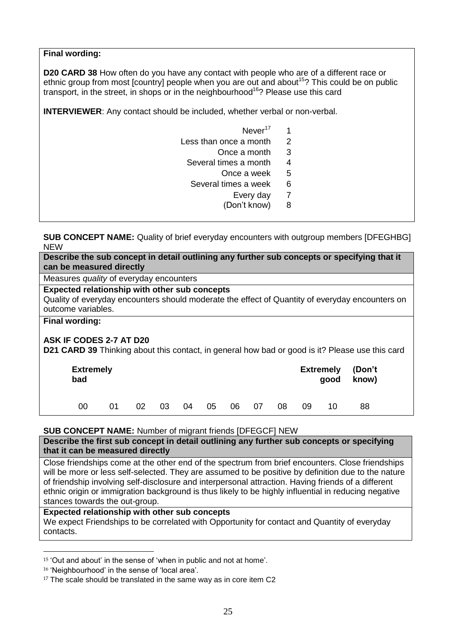### **Final wording:**

**D20 CARD 38** How often do you have any contact with people who are of a different race or ethnic group from most [country] people when you are out and about<sup>15</sup>? This could be on public transport, in the street, in shops or in the neighbourhood<sup>16</sup>? Please use this card

**INTERVIEWER:** Any contact should be included, whether verbal or non-verbal.

- Never<sup>17</sup> 1
- Less than once a month 2
	- Once a month 3
	- Several times a month 4
		- Once a week 5
	- Several times a week 6
		- Every day 7
		- Don't know) 8

<span id="page-24-0"></span>**SUB CONCEPT NAME:** Quality of brief everyday encounters with outgroup members [DFEGHBG] NEW

**Describe the sub concept in detail outlining any further sub concepts or specifying that it can be measured directly**

Measures *quality* of everyday encounters

## **Expected relationship with other sub concepts**

Quality of everyday encounters should moderate the effect of Quantity of everyday encounters on outcome variables.

**Final wording:**

<u>.</u>

### **ASK IF CODES 2-7 AT D20**

**D21 CARD 39** Thinking about this contact, in general how bad or good is it? Please use this card

| <b>Extremely</b><br>bad |    |    |    |    |    |    | <b>Extremely (Don't</b><br>know)<br>good |    |    |    |    |  |
|-------------------------|----|----|----|----|----|----|------------------------------------------|----|----|----|----|--|
| 00                      | በ1 | 02 | 03 | 04 | 05 | 06 | 07                                       | 08 | 09 | 10 | 88 |  |

#### <span id="page-24-1"></span>**SUB CONCEPT NAME:** Number of migrant friends [DFEGCF] NEW

**Describe the first sub concept in detail outlining any further sub concepts or specifying that it can be measured directly**

Close friendships come at the other end of the spectrum from brief encounters. Close friendships will be more or less self-selected. They are assumed to be positive by definition due to the nature of friendship involving self-disclosure and interpersonal attraction. Having friends of a different ethnic origin or immigration background is thus likely to be highly influential in reducing negative stances towards the out-group.

### **Expected relationship with other sub concepts**

We expect Friendships to be correlated with Opportunity for contact and Quantity of everyday contacts.

<sup>15</sup> 'Out and about' in the sense of 'when in public and not at home'.

<sup>16</sup> 'Neighbourhood' in the sense of 'local area'.

<sup>&</sup>lt;sup>17</sup> The scale should be translated in the same way as in core item C2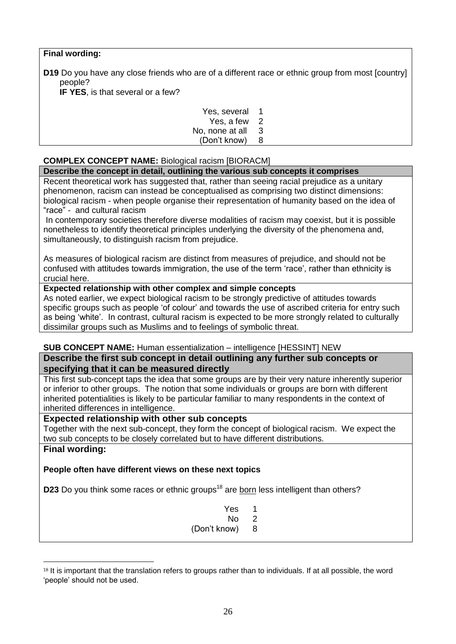## **Final wording:**

**D19** Do you have any close friends who are of a different race or ethnic group from most [country] people?

**IF YES**, is that several or a few?

| Yes, several    | 1 |
|-----------------|---|
| Yes, a few      | 2 |
| No, none at all | 3 |
| (Don't know)    | 8 |

# <span id="page-25-0"></span>**COMPLEX CONCEPT NAME:** Biological racism [BIORACM]

### **Describe the concept in detail, outlining the various sub concepts it comprises**

Recent theoretical work has suggested that, rather than seeing racial prejudice as a unitary phenomenon, racism can instead be conceptualised as comprising two distinct dimensions: biological racism - when people organise their representation of humanity based on the idea of "race" - and cultural racism

In contemporary societies therefore diverse modalities of racism may coexist, but it is possible nonetheless to identify theoretical principles underlying the diversity of the phenomena and, simultaneously, to distinguish racism from prejudice.

As measures of biological racism are distinct from measures of prejudice, and should not be confused with attitudes towards immigration, the use of the term 'race', rather than ethnicity is crucial here.

### **Expected relationship with other complex and simple concepts**

As noted earlier, we expect biological racism to be strongly predictive of attitudes towards specific groups such as people 'of colour' and towards the use of ascribed criteria for entry such as being 'white'. In contrast, cultural racism is expected to be more strongly related to culturally dissimilar groups such as Muslims and to feelings of symbolic threat.

## <span id="page-25-1"></span>**SUB CONCEPT NAME:** Human essentialization – intelligence [HESSINT] NEW

### **Describe the first sub concept in detail outlining any further sub concepts or specifying that it can be measured directly**

This first sub-concept taps the idea that some groups are by their very nature inherently superior or inferior to other groups. The notion that some individuals or groups are born with different inherited potentialities is likely to be particular familiar to many respondents in the context of inherited differences in intelligence.

## **Expected relationship with other sub concepts**

Together with the next sub-concept, they form the concept of biological racism. We expect the two sub concepts to be closely correlated but to have different distributions.

### **Final wording:**

1

## **People often have different views on these next topics**

**D23** Do you think some races or ethnic groups<sup>18</sup> are born less intelligent than others?

| Yes          | 1 |
|--------------|---|
| N٥           | 2 |
| (Don't know) | 8 |

<sup>&</sup>lt;sup>18</sup> It is important that the translation refers to groups rather than to individuals. If at all possible, the word 'people' should not be used.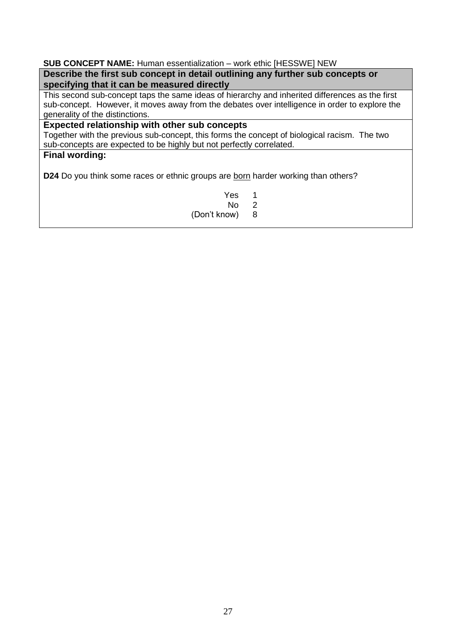### <span id="page-26-0"></span>**SUB CONCEPT NAME:** Human essentialization – work ethic [HESSWE] NEW

**Describe the first sub concept in detail outlining any further sub concepts or specifying that it can be measured directly**

This second sub-concept taps the same ideas of hierarchy and inherited differences as the first sub-concept. However, it moves away from the debates over intelligence in order to explore the generality of the distinctions.

# **Expected relationship with other sub concepts**

Together with the previous sub-concept, this forms the concept of biological racism. The two sub-concepts are expected to be highly but not perfectly correlated.

## **Final wording:**

**D24** Do you think some races or ethnic groups are born harder working than others?

Yes 1<br>No 2  $N<sub>0</sub>$  2<br>ow) 8 (Don't know)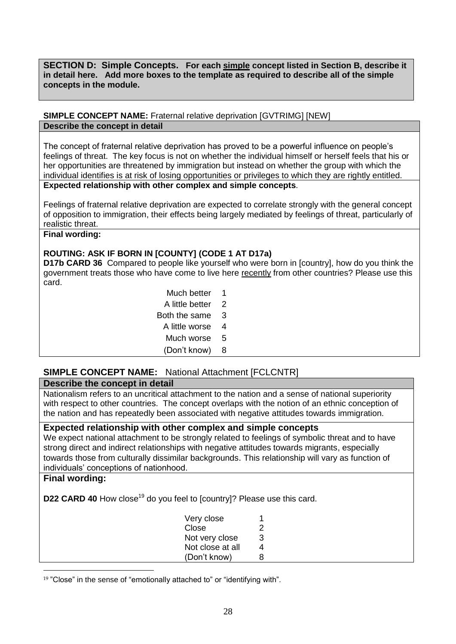<span id="page-27-0"></span>**SECTION D: Simple Concepts. For each simple concept listed in Section B, describe it in detail here. Add more boxes to the template as required to describe all of the simple concepts in the module.**

### <span id="page-27-1"></span>**SIMPLE CONCEPT NAME:** Fraternal relative deprivation [GVTRIMG] [NEW] **Describe the concept in detail**

The concept of fraternal relative deprivation has proved to be a powerful influence on people's feelings of threat. The key focus is not on whether the individual himself or herself feels that his or her opportunities are threatened by immigration but instead on whether the group with which the individual identifies is at risk of losing opportunities or privileges to which they are rightly entitled. **Expected relationship with other complex and simple concepts**.

Feelings of fraternal relative deprivation are expected to correlate strongly with the general concept of opposition to immigration, their effects being largely mediated by feelings of threat, particularly of realistic threat.

## **Final wording:**

## **ROUTING: ASK IF BORN IN [COUNTY] (CODE 1 AT D17a)**

**D17b CARD 36** Compared to people like yourself who were born in [country], how do you think the government treats those who have come to live here recently from other countries? Please use this card.

| Much better     | 1. |
|-----------------|----|
| A little better | 2  |
| Both the same   | 3  |
| A little worse  | 4  |
| Much worse      | 5  |
| (Don't know)    | 8  |

# <span id="page-27-2"></span>**SIMPLE CONCEPT NAME:** National Attachment [FCLCNTR]

## **Describe the concept in detail**

Nationalism refers to an uncritical attachment to the nation and a sense of national superiority with respect to other countries. The concept overlaps with the notion of an ethnic conception of the nation and has repeatedly been associated with negative attitudes towards immigration.

### **Expected relationship with other complex and simple concepts**

We expect national attachment to be strongly related to feelings of symbolic threat and to have strong direct and indirect relationships with negative attitudes towards migrants, especially towards those from culturally dissimilar backgrounds. This relationship will vary as function of individuals' conceptions of nationhood.

### **Final wording:**

<u>.</u>

**D22 CARD 40** How close<sup>19</sup> do you feel to [country]? Please use this card.

| Very close       | 1 |
|------------------|---|
| Close            | 2 |
| Not very close   | 3 |
| Not close at all | 4 |
| (Don't know)     | 8 |

<sup>&</sup>lt;sup>19</sup> "Close" in the sense of "emotionally attached to" or "identifying with".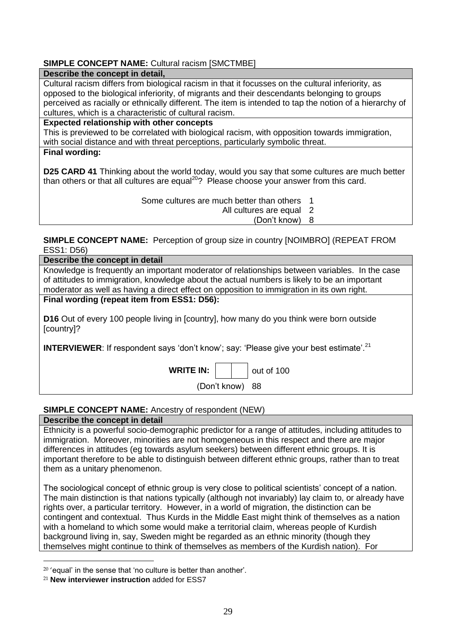## <span id="page-28-0"></span>**SIMPLE CONCEPT NAME: Cultural racism [SMCTMBE]**

### **Describe the concept in detail,**

Cultural racism differs from biological racism in that it focusses on the cultural inferiority, as opposed to the biological inferiority, of migrants and their descendants belonging to groups perceived as racially or ethnically different. The item is intended to tap the notion of a hierarchy of cultures, which is a characteristic of cultural racism.

**Expected relationship with other concepts**

This is previewed to be correlated with biological racism, with opposition towards immigration, with social distance and with threat perceptions, particularly symbolic threat. **Final wording:**

**D25 CARD 41** Thinking about the world today, would you say that some cultures are much better than others or that all cultures are equal<sup>20</sup>? Please choose your answer from this card.

Some cultures are much better than others 1

All cultures are equal 2

Don't know) 8

<span id="page-28-1"></span>**SIMPLE CONCEPT NAME:** Perception of group size in country [NOIMBRO] (REPEAT FROM ESS1: D56)

| Describe the concept in detail                                                                                |  |  |  |  |  |  |  |  |  |
|---------------------------------------------------------------------------------------------------------------|--|--|--|--|--|--|--|--|--|
| Knowledge is frequently an important moderator of relationships between variables. In the case                |  |  |  |  |  |  |  |  |  |
| of attitudes to immigration, knowledge about the actual numbers is likely to be an important                  |  |  |  |  |  |  |  |  |  |
| moderator as well as having a direct effect on opposition to immigration in its own right.                    |  |  |  |  |  |  |  |  |  |
| Final wording (repeat item from ESS1: D56):                                                                   |  |  |  |  |  |  |  |  |  |
| <b>D16</b> Out of every 100 people living in [country], how many do you think were born outside<br>[country]? |  |  |  |  |  |  |  |  |  |
| <b>INTERVIEWER:</b> If respondent says 'don't know'; say: 'Please give your best estimate'. <sup>21</sup>     |  |  |  |  |  |  |  |  |  |
| <b>WRITE IN:</b><br>out of 100                                                                                |  |  |  |  |  |  |  |  |  |

## <span id="page-28-2"></span>**SIMPLE CONCEPT NAME:** Ancestry of respondent (NEW)

**Describe the concept in detail**

Ethnicity is a powerful socio-demographic predictor for a range of attitudes, including attitudes to immigration. Moreover, minorities are not homogeneous in this respect and there are major differences in attitudes (eg towards asylum seekers) between different ethnic groups. It is important therefore to be able to distinguish between different ethnic groups, rather than to treat them as a unitary phenomenon.

Don't know) 88

The sociological concept of ethnic group is very close to political scientists' concept of a nation. The main distinction is that nations typically (although not invariably) lay claim to, or already have rights over, a particular territory. However, in a world of migration, the distinction can be contingent and contextual. Thus Kurds in the Middle East might think of themselves as a nation with a homeland to which some would make a territorial claim, whereas people of Kurdish background living in, say, Sweden might be regarded as an ethnic minority (though they themselves might continue to think of themselves as members of the Kurdish nation). For

<u>.</u>

<sup>20</sup> 'equal' in the sense that 'no culture is better than another'.

<sup>21</sup> **New interviewer instruction** added for ESS7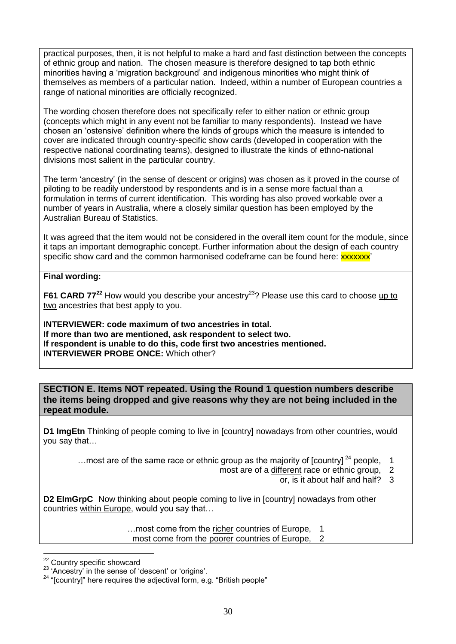practical purposes, then, it is not helpful to make a hard and fast distinction between the concepts of ethnic group and nation. The chosen measure is therefore designed to tap both ethnic minorities having a 'migration background' and indigenous minorities who might think of themselves as members of a particular nation. Indeed, within a number of European countries a range of national minorities are officially recognized.

The wording chosen therefore does not specifically refer to either nation or ethnic group (concepts which might in any event not be familiar to many respondents). Instead we have chosen an 'ostensive' definition where the kinds of groups which the measure is intended to cover are indicated through country-specific show cards (developed in cooperation with the respective national coordinating teams), designed to illustrate the kinds of ethno-national divisions most salient in the particular country.

The term 'ancestry' (in the sense of descent or origins) was chosen as it proved in the course of piloting to be readily understood by respondents and is in a sense more factual than a formulation in terms of current identification. This wording has also proved workable over a number of years in Australia, where a closely similar question has been employed by the Australian Bureau of Statistics.

It was agreed that the item would not be considered in the overall item count for the module, since it taps an important demographic concept. Further information about the design of each country specific show card and the common harmonised codeframe can be found here: **xxxxxx**'

## **Final wording:**

**F61 CARD 77<sup>22</sup>** How would you describe your ancestry<sup>23</sup>? Please use this card to choose up to two ancestries that best apply to you.

**INTERVIEWER: code maximum of two ancestries in total. If more than two are mentioned, ask respondent to select two. If respondent is unable to do this, code first two ancestries mentioned. INTERVIEWER PROBE ONCE:** Which other?

<span id="page-29-0"></span>**SECTION E. Items NOT repeated. Using the Round 1 question numbers describe the items being dropped and give reasons why they are not being included in the repeat module.** 

**D1 ImgEtn** Thinking of people coming to live in [country] nowadays from other countries, would you say that…

... most are of the same race or ethnic group as the majority of  $[Country]^2$  people, 1

- most are of a different race or ethnic group, 2
	- or, is it about half and half? 3

**D2 EImGrpC** Now thinking about people coming to live in [country] nowadays from other countries within Europe, would you say that…

…most come from the richer countries of Europe, 1

most come from the poorer countries of Europe, 2

<sup>1</sup> <sup>22</sup> Country specific showcard

 $23$  'Ancestry' in the sense of 'descent' or 'origins'.

 $24$  "[country]" here requires the adjectival form, e.g. "British people"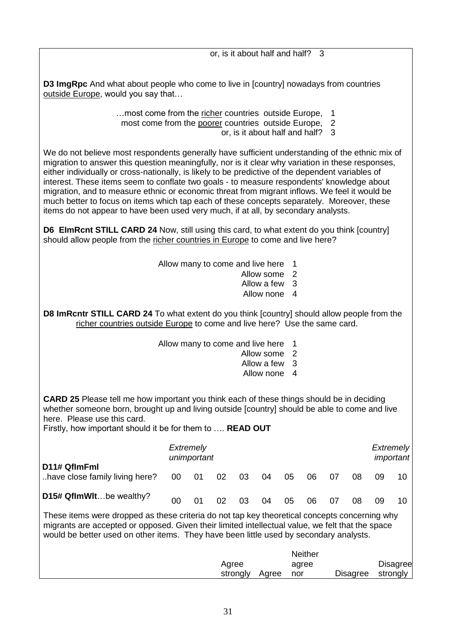or, is it about half and half? 3

**D3 ImgRpc** And what about people who come to live in [country] nowadays from countries outside Europe, would you say that...

…most come from the richer countries outside Europe, 1

- most come from the poorer countries outside Europe, 2
	- or, is it about half and half? 3

We do not believe most respondents generally have sufficient understanding of the ethnic mix of migration to answer this question meaningfully, nor is it clear why variation in these responses, either individually or cross-nationally, is likely to be predictive of the dependent variables of interest. These items seem to conflate two goals - to measure respondents' knowledge about migration, and to measure ethnic or economic threat from migrant inflows. We feel it would be much better to focus on items which tap each of these concepts separately. Moreover, these items do not appear to have been used very much, if at all, by secondary analysts.

**D6 EImRcnt STILL CARD 24** Now, still using this card, to what extent do you think [country] should allow people from the richer countries in Europe to come and live here?

Allow many to come and live here 1

- Allow some 2
- Allow a few 3
- Allow none 4

**D8 ImRcntr STILL CARD 24** To what extent do you think [country] should allow people from the richer countries outside Europe to come and live here? Use the same card.

- Allow many to come and live here 1
	- Allow some 2
	- Allow a few 3
	- Allow none 4

**CARD 25** Please tell me how important you think each of these things should be in deciding whether someone born, brought up and living outside [country] should be able to come and live here. Please use this card.

Firstly, how important should it be for them to .... **READ OUT** 

|                                                                    | Extremely<br>unimportant |    | Extremely<br>important |      |    |    |    |    |    |  |
|--------------------------------------------------------------------|--------------------------|----|------------------------|------|----|----|----|----|----|--|
| D11# QflmFml<br>have close family living here? $00$ $01$ $02$ $03$ |                          |    |                        | - 04 | 05 | 06 | 07 | 08 | 09 |  |
| D15# QflmWltbe wealthy?                                            | 00                       | 02 | 03                     | 04   | 05 | 06 | 07 | 08 | 09 |  |

These items were dropped as these criteria do not tap key theoretical concepts concerning why migrants are accepted or opposed. Given their limited intellectual value, we felt that the space would be better used on other items. They have been little used by secondary analysts.

|                   |       | <b>Neither</b> |                   |                 |
|-------------------|-------|----------------|-------------------|-----------------|
| Agree<br>strongly | Agree | agree          | Disagree strongly | <b>Disagree</b> |
|                   |       | nor            |                   |                 |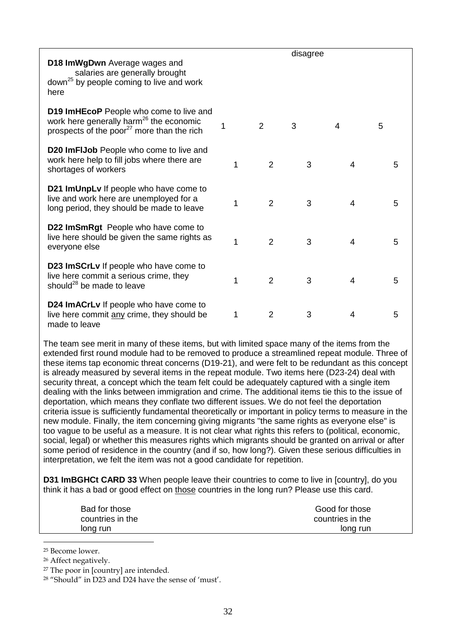| D18 ImWgDwn Average wages and<br>salaries are generally brought<br>down <sup>25</sup> by people coming to live and work<br>here                          |   |                | disagree |   |   |
|----------------------------------------------------------------------------------------------------------------------------------------------------------|---|----------------|----------|---|---|
| D19 ImHEcoP People who come to live and<br>work here generally harm <sup>26</sup> the economic<br>prospects of the poor <sup>27</sup> more than the rich | 1 | $\overline{2}$ | 3        | 4 | 5 |
| <b>D20 ImFIJob</b> People who come to live and<br>work here help to fill jobs where there are<br>shortages of workers                                    | 1 | $\overline{2}$ | 3        | 4 | 5 |
| D21 ImUnpLv If people who have come to<br>live and work here are unemployed for a<br>long period, they should be made to leave                           | 1 | $\overline{2}$ | 3        | 4 | 5 |
| D22 ImSmRgt People who have come to<br>live here should be given the same rights as<br>everyone else                                                     | 1 | $\overline{2}$ | 3        | 4 | 5 |
| D23 ImSCrLv If people who have come to<br>live here commit a serious crime, they<br>should <sup>28</sup> be made to leave                                | 1 | $\overline{2}$ | 3        | 4 | 5 |
| D24 ImACrLv If people who have come to<br>live here commit any crime, they should be<br>made to leave                                                    | 1 | $\overline{2}$ | 3        | 4 | 5 |

The team see merit in many of these items, but with limited space many of the items from the extended first round module had to be removed to produce a streamlined repeat module. Three of these items tap economic threat concerns (D19-21), and were felt to be redundant as this concept is already measured by several items in the repeat module. Two items here (D23-24) deal with security threat, a concept which the team felt could be adequately captured with a single item dealing with the links between immigration and crime. The additional items tie this to the issue of deportation, which means they conflate two different issues. We do not feel the deportation criteria issue is sufficiently fundamental theoretically or important in policy terms to measure in the new module. Finally, the item concerning giving migrants "the same rights as everyone else" is too vague to be useful as a measure. It is not clear what rights this refers to (political, economic, social, legal) or whether this measures rights which migrants should be granted on arrival or after some period of residence in the country (and if so, how long?). Given these serious difficulties in interpretation, we felt the item was not a good candidate for repetition.

**D31 ImBGHCt CARD 33** When people leave their countries to come to live in [country], do you think it has a bad or good effect on those countries in the long run? Please use this card.

| Bad for those    | Good for those   |
|------------------|------------------|
| countries in the | countries in the |
| long run         | long run         |

<sup>25</sup> Become lower.

<u>.</u>

<sup>26</sup> Affect negatively.

<sup>27</sup> The poor in [country] are intended.

<sup>28</sup> "Should" in D23 and D24 have the sense of 'must'.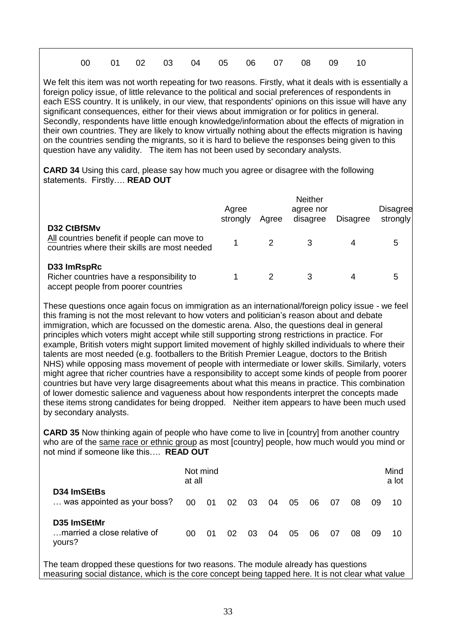| 00  01  02  03  04  05  06  07  08  09  10 |  |  |  |  |  |
|--------------------------------------------|--|--|--|--|--|
|                                            |  |  |  |  |  |

We felt this item was not worth repeating for two reasons. Firstly, what it deals with is essentially a foreign policy issue, of little relevance to the political and social preferences of respondents in each ESS country. It is unlikely, in our view, that respondents' opinions on this issue will have any significant consequences, either for their views about immigration or for politics in general. Secondly, respondents have little enough knowledge/information about the effects of migration in their own countries. They are likely to know virtually nothing about the effects migration is having on the countries sending the migrants, so it is hard to believe the responses being given to this question have any validity. The item has not been used by secondary analysts.

**CARD 34** Using this card, please say how much you agree or disagree with the following statements. Firstly…. **READ OUT**

|                                                                                                            | Agree<br>strongly | Agree | <b>Neither</b><br>agree nor<br>disagree | <b>Disagree</b> | <b>Disagree</b><br>strongly |
|------------------------------------------------------------------------------------------------------------|-------------------|-------|-----------------------------------------|-----------------|-----------------------------|
| D32 CtBfSMv<br>All countries benefit if people can move to<br>countries where their skills are most needed |                   |       |                                         |                 | 5                           |
| D33 ImRspRc<br>Richer countries have a responsibility to<br>accept people from poorer countries            |                   |       |                                         |                 | 5                           |

These questions once again focus on immigration as an international/foreign policy issue - we feel this framing is not the most relevant to how voters and politician's reason about and debate immigration, which are focussed on the domestic arena. Also, the questions deal in general principles which voters might accept while still supporting strong restrictions in practice. For example, British voters might support limited movement of highly skilled individuals to where their talents are most needed (e.g. footballers to the British Premier League, doctors to the British NHS) while opposing mass movement of people with intermediate or lower skills. Similarly, voters might agree that richer countries have a responsibility to accept some kinds of people from poorer countries but have very large disagreements about what this means in practice. This combination of lower domestic salience and vagueness about how respondents interpret the concepts made these items strong candidates for being dropped. Neither item appears to have been much used by secondary analysts.

**CARD 35** Now thinking again of people who have come to live in [country] from another country who are of the same race or ethnic group as most [country] people, how much would you mind or not mind if someone like this…. **READ OUT**

|                                                      | at all | Not mind |    |    |      |    |    |    |    |    | Mind<br>a lot |
|------------------------------------------------------|--------|----------|----|----|------|----|----|----|----|----|---------------|
| D34 ImSEtBs<br>was appointed as your boss?           | 00     | 01       | 02 | 03 | - 04 | 05 | 06 | 07 | 08 | 09 | 10            |
| D35 ImSEtMr<br>married a close relative of<br>yours? | 00     | 01       | 02 | 03 | 04   | 05 | 06 | 07 | 08 | 09 | 10            |

The team dropped these questions for two reasons. The module already has questions measuring social distance, which is the core concept being tapped here. It is not clear what value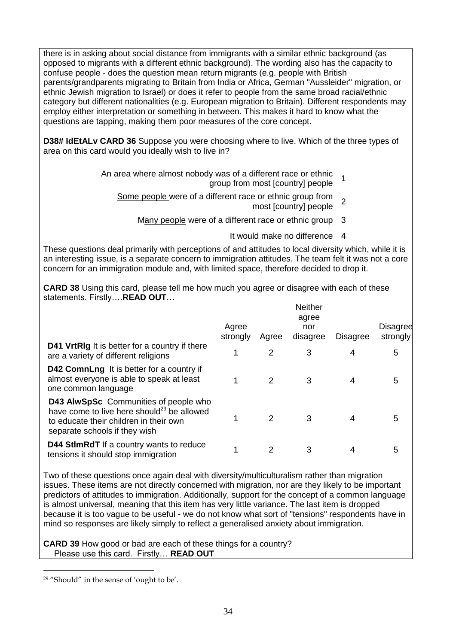there is in asking about social distance from immigrants with a similar ethnic background (as opposed to migrants with a different ethnic background). The wording also has the capacity to confuse people - does the question mean return migrants (e.g. people with British parents/grandparents migrating to Britain from India or Africa, German "Aussleider" migration, or ethnic Jewish migration to Israel) or does it refer to people from the same broad racial/ethnic category but different nationalities (e.g. European migration to Britain). Different respondents may employ either interpretation or something in between. This makes it hard to know what the questions are tapping, making them poor measures of the core concept.

**D38# IdEtALv CARD 36** Suppose you were choosing where to live. Which of the three types of area on this card would you ideally wish to live in?

- An area where almost nobody was of a different race or ethnic group from most [country] people <sup>1</sup>
	- Some people were of a different race or ethnic group from e or emme group nom 2
		- Many people were of a different race or ethnic group 3
			- It would make no difference 4

These questions deal primarily with perceptions of and attitudes to local diversity which, while it is an interesting issue, is a separate concern to immigration attitudes. The team felt it was not a core concern for an immigration module and, with limited space, therefore decided to drop it.

**CARD 38** Using this card, please tell me how much you agree or disagree with each of these statements. Firstly….**READ OUT**…

|                                                                                                                                                                                   | Agree<br>strongly | Agree | <b>Neither</b><br>agree<br>nor<br>disagree | <b>Disagree</b> | <b>Disagree</b><br>strongly |
|-----------------------------------------------------------------------------------------------------------------------------------------------------------------------------------|-------------------|-------|--------------------------------------------|-----------------|-----------------------------|
| <b>D41 VrtRIg</b> It is better for a country if there<br>are a variety of different religions                                                                                     |                   | 2     | 3                                          |                 | 5                           |
| <b>D42 ComnLng</b> It is better for a country if<br>almost everyone is able to speak at least<br>one common language                                                              |                   | 2     | 3                                          |                 | 5                           |
| <b>D43 AlwSpSc</b> Communities of people who<br>have come to live here should <sup>29</sup> be allowed<br>to educate their children in their own<br>separate schools if they wish |                   |       | 3                                          |                 | 5                           |
| <b>D44 StImRdT</b> If a country wants to reduce<br>tensions it should stop immigration                                                                                            |                   | 2     | 3                                          |                 | 5                           |

Two of these questions once again deal with diversity/multiculturalism rather than migration issues. These items are not directly concerned with migration, nor are they likely to be important predictors of attitudes to immigration. Additionally, support for the concept of a common language is almost universal, meaning that this item has very little variance. The last item is dropped because it is too vague to be useful - we do not know what sort of "tensions" respondents have in mind so responses are likely simply to reflect a generalised anxiety about immigration.

**CARD 39** How good or bad are each of these things for a country? Please use this card. Firstly… **READ OUT**

<u>.</u>

<sup>29</sup> "Should" in the sense of 'ought to be'.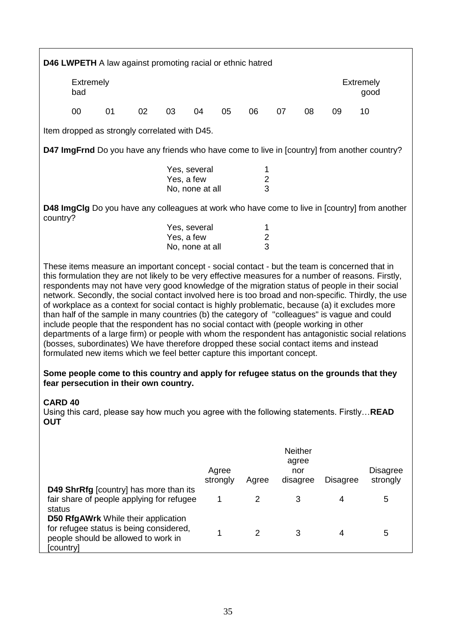|                                                                             | <b>D46 LWPETH</b> A law against promoting racial or ethnic hatred                                                                                                                                                                                                                                                                                                                                                                                                                                                                                                                                                                                                                                                                                                                                                                                                                                                                                                                          |    |    |                                                                                     |    |    |                |    |    |                                                                                            |                                                                                                      |
|-----------------------------------------------------------------------------|--------------------------------------------------------------------------------------------------------------------------------------------------------------------------------------------------------------------------------------------------------------------------------------------------------------------------------------------------------------------------------------------------------------------------------------------------------------------------------------------------------------------------------------------------------------------------------------------------------------------------------------------------------------------------------------------------------------------------------------------------------------------------------------------------------------------------------------------------------------------------------------------------------------------------------------------------------------------------------------------|----|----|-------------------------------------------------------------------------------------|----|----|----------------|----|----|--------------------------------------------------------------------------------------------|------------------------------------------------------------------------------------------------------|
|                                                                             | Extremely<br><b>Extremely</b><br>bad<br>good                                                                                                                                                                                                                                                                                                                                                                                                                                                                                                                                                                                                                                                                                                                                                                                                                                                                                                                                               |    |    |                                                                                     |    |    |                |    |    |                                                                                            |                                                                                                      |
|                                                                             | 00                                                                                                                                                                                                                                                                                                                                                                                                                                                                                                                                                                                                                                                                                                                                                                                                                                                                                                                                                                                         | 01 | 02 | 03                                                                                  | 04 | 05 | 06             | 07 | 08 | 09                                                                                         | 10                                                                                                   |
|                                                                             | Item dropped as strongly correlated with D45.                                                                                                                                                                                                                                                                                                                                                                                                                                                                                                                                                                                                                                                                                                                                                                                                                                                                                                                                              |    |    |                                                                                     |    |    |                |    |    |                                                                                            |                                                                                                      |
|                                                                             | D47 ImgFrnd Do you have any friends who have come to live in [country] from another country?                                                                                                                                                                                                                                                                                                                                                                                                                                                                                                                                                                                                                                                                                                                                                                                                                                                                                               |    |    |                                                                                     |    |    |                |    |    |                                                                                            |                                                                                                      |
| Yes, several<br>1<br>$\boldsymbol{2}$<br>Yes, a few<br>3<br>No, none at all |                                                                                                                                                                                                                                                                                                                                                                                                                                                                                                                                                                                                                                                                                                                                                                                                                                                                                                                                                                                            |    |    |                                                                                     |    |    |                |    |    |                                                                                            |                                                                                                      |
|                                                                             |                                                                                                                                                                                                                                                                                                                                                                                                                                                                                                                                                                                                                                                                                                                                                                                                                                                                                                                                                                                            |    |    |                                                                                     |    |    |                |    |    |                                                                                            | <b>D48 ImgClg</b> Do you have any colleagues at work who have come to live in [country] from another |
|                                                                             | country?<br>Yes, several<br>1<br>$\frac{2}{3}$<br>Yes, a few<br>No, none at all                                                                                                                                                                                                                                                                                                                                                                                                                                                                                                                                                                                                                                                                                                                                                                                                                                                                                                            |    |    |                                                                                     |    |    |                |    |    |                                                                                            |                                                                                                      |
|                                                                             | These items measure an important concept - social contact - but the team is concerned that in<br>this formulation they are not likely to be very effective measures for a number of reasons. Firstly,<br>respondents may not have very good knowledge of the migration status of people in their social<br>network. Secondly, the social contact involved here is too broad and non-specific. Thirdly, the use<br>of workplace as a context for social contact is highly problematic, because (a) it excludes more<br>than half of the sample in many countries (b) the category of "colleagues" is vague and could<br>include people that the respondent has no social contact with (people working in other<br>departments of a large firm) or people with whom the respondent has antagonistic social relations<br>(bosses, subordinates) We have therefore dropped these social contact items and instead<br>formulated new items which we feel better capture this important concept. |    |    |                                                                                     |    |    |                |    |    |                                                                                            |                                                                                                      |
|                                                                             | fear persecution in their own country.                                                                                                                                                                                                                                                                                                                                                                                                                                                                                                                                                                                                                                                                                                                                                                                                                                                                                                                                                     |    |    |                                                                                     |    |    |                |    |    |                                                                                            | Some people come to this country and apply for refugee status on the grounds that they               |
| <b>CARD 40</b><br><b>OUT</b>                                                |                                                                                                                                                                                                                                                                                                                                                                                                                                                                                                                                                                                                                                                                                                                                                                                                                                                                                                                                                                                            |    |    |                                                                                     |    |    |                |    |    | Using this card, please say how much you agree with the following statements. Firstly READ |                                                                                                      |
|                                                                             | <b>Neither</b><br>agree<br>Agree<br><b>Disagree</b><br>nor<br>strongly<br>strongly<br>disagree<br><b>Disagree</b><br>Agree                                                                                                                                                                                                                                                                                                                                                                                                                                                                                                                                                                                                                                                                                                                                                                                                                                                                 |    |    |                                                                                     |    |    |                |    |    |                                                                                            |                                                                                                      |
|                                                                             |                                                                                                                                                                                                                                                                                                                                                                                                                                                                                                                                                                                                                                                                                                                                                                                                                                                                                                                                                                                            |    |    | D49 ShrRfg [country] has more than its<br>fair share of people applying for refugee |    | 1  | $\overline{2}$ |    | 3  | 4                                                                                          | 5                                                                                                    |
| status                                                                      | <b>D50 RfgAWrk</b> While their application<br>for refugee status is being considered,<br>people should be allowed to work in                                                                                                                                                                                                                                                                                                                                                                                                                                                                                                                                                                                                                                                                                                                                                                                                                                                               |    |    |                                                                                     |    | 1  | $\overline{2}$ |    | 3  | 4                                                                                          | 5                                                                                                    |

[country]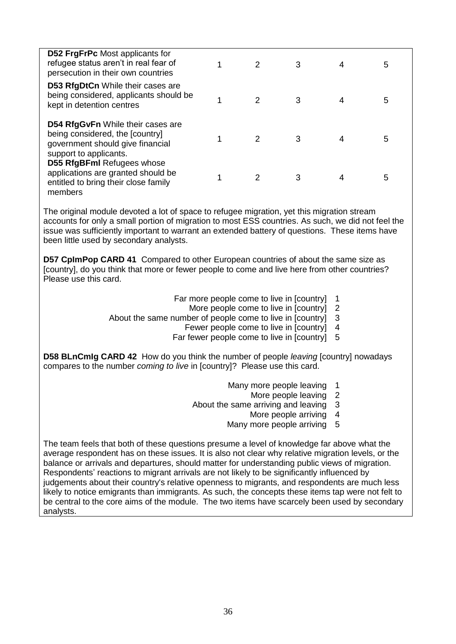| <b>D52 FrgFrPc</b> Most applicants for<br>refugee status aren't in real fear of<br>persecution in their own countries                     | $\mathcal{P}$ | 3 | 4 | 5 |  |
|-------------------------------------------------------------------------------------------------------------------------------------------|---------------|---|---|---|--|
| <b>D53 RfgDtCn While their cases are</b><br>being considered, applicants should be<br>kept in detention centres                           | 2             | 3 |   | 5 |  |
| <b>D54 RfgGvFn</b> While their cases are<br>being considered, the [country]<br>government should give financial<br>support to applicants. | $\mathcal{P}$ | 3 |   | 5 |  |
| <b>D55 RfgBFml Refugees whose</b><br>applications are granted should be<br>entitled to bring their close family<br>members                | $\mathcal{P}$ | 3 |   | 5 |  |
|                                                                                                                                           |               |   |   |   |  |

The original module devoted a lot of space to refugee migration, yet this migration stream accounts for only a small portion of migration to most ESS countries. As such, we did not feel the issue was sufficiently important to warrant an extended battery of questions. These items have been little used by secondary analysts.

**D57 CpImPop CARD 41** Compared to other European countries of about the same size as [country], do you think that more or fewer people to come and live here from other countries? Please use this card.

- Far more people come to live in [country] 1
	- More people come to live in [country] 2
- About the same number of people come to live in [country] 3
	- Fewer people come to live in [country] 4
	- Far fewer people come to live in [country] 5

**D58 BLnCmIg CARD 42** How do you think the number of people *leaving* [country] nowadays compares to the number *coming to live* in [country]? Please use this card.

- Many more people leaving 1
	- More people leaving 2
- About the same arriving and leaving 3
	- More people arriving 4
	- Many more people arriving 5

The team feels that both of these questions presume a level of knowledge far above what the average respondent has on these issues. It is also not clear why relative migration levels, or the balance or arrivals and departures, should matter for understanding public views of migration. Respondents' reactions to migrant arrivals are not likely to be significantly influenced by judgements about their country's relative openness to migrants, and respondents are much less likely to notice emigrants than immigrants. As such, the concepts these items tap were not felt to be central to the core aims of the module. The two items have scarcely been used by secondary analysts.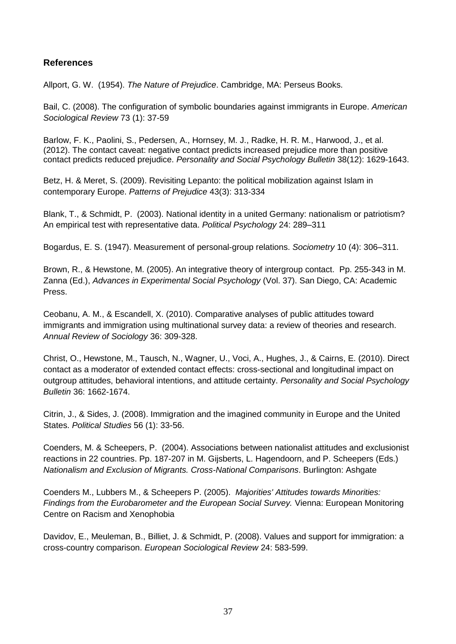# <span id="page-36-0"></span>**References**

Allport, G. W. (1954). *The Nature of Prejudice*. Cambridge, MA: Perseus Books.

Bail, [C. \(](http://asr.sagepub.com/search?author1=Christopher+A.+Bail&sortspec=date&submit=Submit)2008). The configuration of symbolic boundaries against immigrants in Europe. *American Sociological Review* 73 (1): 37-59

Barlow, F. K., Paolini, S., Pedersen, A., Hornsey, M. J., Radke, H. R. M., Harwood, J., et al. (2012). The contact caveat: negative contact predicts increased prejudice more than positive contact predicts reduced prejudice. *Personality and Social Psychology Bulletin* 38(12): 1629-1643.

Betz, H. & Meret, S. (2009). Revisiting Lepanto: the political mobilization against Islam in contemporary Europe. *Patterns of Prejudice* 43(3): 313-334

Blank, T., & Schmidt, P. (2003). National identity in a united Germany: nationalism or patriotism? An empirical test with representative data. *Political Psychology* 24: 289–311

Bogardus, E. S. (1947). Measurement of personal-group relations. *Sociometry* 10 (4): 306–311.

Brown, R., & Hewstone, M. (2005). An integrative theory of intergroup contact. Pp. 255-343 in M. Zanna (Ed.), *Advances in Experimental Social Psychology* (Vol. 37). San Diego, CA: Academic Press.

Ceobanu, A. M., & Escandell, X. (2010). Comparative analyses of public attitudes toward immigrants and immigration using multinational survey data: a review of theories and research. *Annual Review of Sociology* 36: 309-328.

Christ, O., Hewstone, M., Tausch, N., Wagner, U., Voci, A., Hughes, J., & Cairns, E. (2010). Direct contact as a moderator of extended contact effects: cross-sectional and longitudinal impact on outgroup attitudes, behavioral intentions, and attitude certainty. *Personality and Social Psychology Bulletin* 36: 1662-1674.

Citrin, J., & Sides, J. (2008). Immigration and the imagined community in Europe and the United States. *Political Studies* 56 (1): 33-56.

Coenders, M. & Scheepers, P. (2004). Associations between nationalist attitudes and exclusionist reactions in 22 countries. Pp. 187-207 in M. Gijsberts, L. Hagendoorn, and P. Scheepers (Eds.) *Nationalism and Exclusion of Migrants. Cross-National Comparisons*. Burlington: Ashgate

[Coenders M., Lubbers M., & Scheepers P.](http://ess.nsd.uib.no/bibliography/details/publication/61) (2005). *Majorities' Attitudes towards Minorities: [Findings from the Eurobarometer and the European Social Survey.](http://ess.nsd.uib.no/bibliography/details/publication/61)* Vienna: European Monitoring [Centre on Racism and](http://ess.nsd.uib.no/bibliography/details/publication/61) Xenophobia

Davidov, E., Meuleman, B., Billiet, J. & Schmidt, P. (2008). Values and support for immigration: a cross-country comparison. *European Sociological Review* 24: 583-599.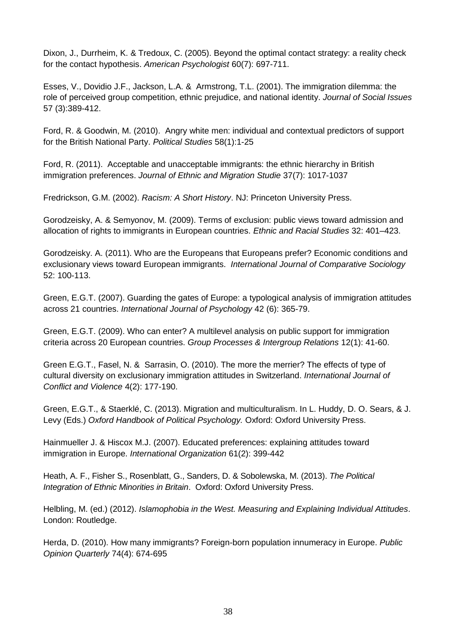Dixon, J., Durrheim, K. & Tredoux, C. (2005). Beyond the optimal contact strategy: a reality check for the contact hypothesis. *American Psychologist* 60(7): 697-711.

Esses, V., Dovidio J.F., Jackson, L.A. & Armstrong, T.L. (2001). The immigration dilemma: the role of perceived group competition, ethnic prejudice, and national identity. *Journal of Social Issues* 57 (3):389-412.

Ford, R. & Goodwin, M. (2010). Angry white men: individual and contextual predictors of support for the British National Party. *Political Studies* 58(1):1-25

Ford, R. (2011). Acceptable and unacceptable immigrants: the ethnic hierarchy in British immigration preferences. *Journal of Ethnic and Migration Studie* 37(7): 1017-1037

Fredrickson, G.M. (2002). *Racism: A Short History*. NJ: Princeton University Press.

Gorodzeisky, A. & Semyonov, M. (2009). Terms of exclusion: public views toward admission and allocation of rights to immigrants in European countries. *Ethnic and Racial Studies* 32: 401–423.

Gorodzeisky. A. (2011). Who are the Europeans that Europeans prefer? Economic conditions and exclusionary views toward European immigrants. *International Journal of Comparative Sociology* 52: 100-113.

Green, E.G.T. (2007). Guarding the gates of Europe: a typological analysis of immigration attitudes across 21 countries. *International Journal of Psychology* 42 (6): 365-79.

Green, E.G.T. (2009). Who can enter? A multilevel analysis on public support for immigration criteria across 20 European countries. *Group Processes & Intergroup Relations* 12(1): 41-60.

Green E.G.T., Fasel, N. & Sarrasin, O. (2010). The more the merrier? The effects of type of cultural diversity on exclusionary immigration attitudes in Switzerland. *International Journal of Conflict and Violence* 4(2): 177-190.

Green, E.G.T., & Staerklé, C. (2013). Migration and multiculturalism. In L. Huddy, D. O. Sears, & J. Levy (Eds.) *Oxford Handbook of Political Psychology.* Oxford: Oxford University Press.

[Hainmueller J. & Hiscox M.J. \(2007\). Educated preferences: explaining attitudes toward](http://ess.nsd.uib.no/bibliography/details/publication/448)  immigration in Europe. *[International Organization](http://ess.nsd.uib.no/bibliography/details/publication/448)* 61(2): 399-442

Heath, A. F., Fisher S., Rosenblatt, G., Sanders, D. & Sobolewska, M. (2013). *The Political Integration of Ethnic Minorities in Britain*. Oxford: Oxford University Press.

Helbling, M. (ed.) (2012). *Islamophobia in the West. Measuring and Explaining Individual Attitudes*. London: Routledge.

[Herda, D. \(2010\). How many immigrants? Foreign-born population innumeracy in Europe.](http://ess.nsd.uib.no/bibliography/details/publication/601) *Public [Opinion Quarterly](http://ess.nsd.uib.no/bibliography/details/publication/601)* 74(4): 674-695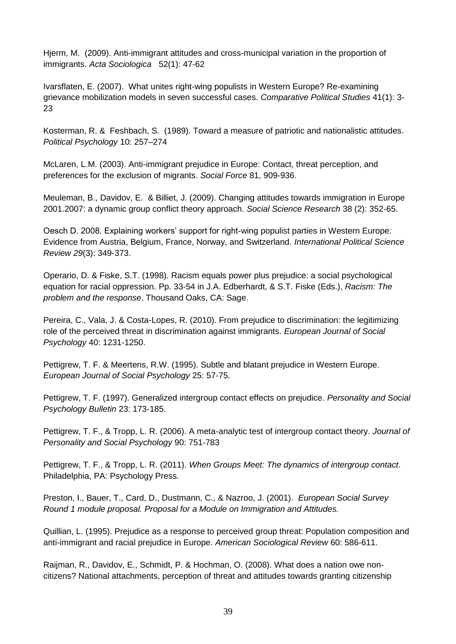[Hjerm, M. \(2009\). Anti-immigrant attitudes and cross-municipal variation in the proportion of](http://ess.nsd.uib.no/bibliography/details/publication/337)  immigrants. *[Acta Sociologica](http://ess.nsd.uib.no/bibliography/details/publication/337)* 52(1): 47-62

Ivarsflaten, [E. \(2007\). What unites right-wing populists in Western Europe? Re-examining](http://ess.nsd.uib.no/bibliography/details/publication/598)  [grievance mobilization models in seven successful cases.](http://ess.nsd.uib.no/bibliography/details/publication/598) *Comparative Political Studies* 41(1): 3- [23](http://ess.nsd.uib.no/bibliography/details/publication/598) 

Kosterman, R. & Feshbach, S. (1989). Toward a measure of patriotic and nationalistic attitudes. *Political Psychology* 10: 257–274

McLaren, L.M. (2003). Anti-immigrant prejudice in Europe: Contact, threat perception, and preferences for the exclusion of migrants. *Social Force* 81, 909-936.

Meuleman, B., Davidov, E. & Billiet, J. (2009). Changing attitudes towards immigration in Europe 2001.2007: a dynamic group conflict theory approach. *Social Science Research* 38 (2): 352-65.

[Oesch D. 2008. Explaining workers' support for right-wing populist parties in Western Europe:](http://ess.nsd.uib.no/bibliography/details/publication/279)  [Evidence from Austria, Belgium, France, Norway, and Switzerland.](http://ess.nsd.uib.no/bibliography/details/publication/279) *International Political Science Review 29*[\(3\): 349-373.](http://ess.nsd.uib.no/bibliography/details/publication/279) 

Operario, D. & Fiske, S.T. (1998). Racism equals power plus prejudice: a social psychological equation for racial oppression. Pp. 33-54 in J.A. Edberhardt, & S.T. Fiske (Eds.), *Racism: The problem and the response*. Thousand Oaks, CA: Sage.

Pereira, C., Vala, J. & Costa-Lopes, R. (2010). From prejudice to discrimination: the legitimizing role of the perceived threat in discrimination against immigrants. *European Journal of Social Psychology* 40: 1231-1250.

Pettigrew, T. F. & Meertens, R.W. (1995). Subtle and blatant prejudice in Western Europe. *European Journal of Social Psychology* 25: 57-75.

Pettigrew, T. F. (1997). Generalized intergroup contact effects on prejudice. *Personality and Social Psychology Bulletin* 23: 173-185.

Pettigrew, T. F., & Tropp, L. R. (2006). A meta-analytic test of intergroup contact theory. *Journal of Personality and Social Psychology* 90: 751-783

Pettigrew, T. F., & Tropp, L. R. (2011). *When Groups Meet: The dynamics of intergroup contact*. Philadelphia, PA: Psychology Press.

Preston, I., Bauer, T., Card, D., Dustmann, C., & Nazroo, J. (2001). *European Social Survey Round 1 module proposal. Proposal for a Module on Immigration and Attitudes.*

Quillian, L. (1995). Prejudice as a response to perceived group threat: Population composition and anti-immigrant and racial prejudice in Europe. *American Sociological Review* 60: 586-611.

Raijman, R., Davidov, E., Schmidt, P. & Hochman, O. (2008). What does a nation owe noncitizens? National attachments, perception of threat and attitudes towards granting citizenship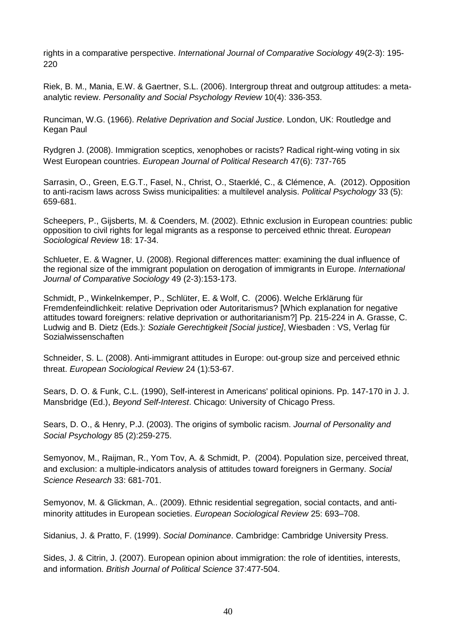rights in a comparative perspective. *International Journal of Comparative Sociology* 49(2-3): 195- 220

Riek, B. M., Mania, E.W. & Gaertner, S.L. (2006). Intergroup threat and outgroup attitudes: a metaanalytic review. *Personality and Social Psychology Review* 10(4): 336-353.

Runciman, W.G. (1966). *Relative Deprivation and Social Justice*. London, UK: Routledge and Kegan Paul

[Rydgren J. \(2008\). Immigration sceptics, xenophobes or racists? Radical right-wing voting in six](http://ess.nsd.uib.no/bibliography/details/publication/519)  West European countries. *[European Journal of Political Research](http://ess.nsd.uib.no/bibliography/details/publication/519)* 47(6): 737-765

Sarrasin, O., Green, E.G.T., Fasel, N., Christ, O., Staerklé, C., & Clémence, A. (2012). Opposition to anti-racism laws across Swiss municipalities: a multilevel analysis. *Political Psychology* 33 (5): 659-681.

Scheepers, P., Gijsberts, M. & Coenders, M. (2002). Ethnic exclusion in European countries: public opposition to civil rights for legal migrants as a response to perceived ethnic threat. *European Sociological Review* 18: 17-34.

Schlueter, E. & Wagner, U. (2008). Regional differences matter: examining the dual influence of the regional size of the immigrant population on derogation of immigrants in Europe. *International Journal of Comparative Sociology* 49 (2-3):153-173.

Schmidt, P., Winkelnkemper, P., Schlüter, E. & Wolf, C. (2006). Welche Erklärung für Fremdenfeindlichkeit: relative Deprivation oder Autoritarismus? [Which explanation for negative attitudes toward foreigners: relative deprivation or authoritarianism?] Pp. 215-224 in A. Grasse, C. Ludwig and B. Dietz (Eds.): *Soziale Gerechtigkeit [Social justice]*, Wiesbaden : VS, Verlag für Sozialwissenschaften

Schneider, S. L. (2008). Anti-immigrant attitudes in Europe: out-group size and perceived ethnic threat. *European Sociological Review* 24 (1):53-67.

Sears, D. O. & Funk, C.L. (1990), Self-interest in Americans' political opinions. Pp. 147-170 in J. J. Mansbridge (Ed.), *Beyond Self-Interest*. Chicago: University of Chicago Press.

Sears, D. O., & Henry, P.J. (2003). The origins of symbolic racism. *Journal of Personality and Social Psychology* 85 (2):259-275.

Semyonov, M., Raijman, R., Yom Tov, A. & Schmidt, P. (2004). Population size, perceived threat, and exclusion: a multiple-indicators analysis of attitudes toward foreigners in Germany. *Social Science Research* 33: 681-701.

Semyonov, M. & Glickman, A.. (2009). Ethnic residential segregation, social contacts, and antiminority attitudes in European societies. *European Sociological Review* 25: 693–708.

Sidanius, J. & Pratto, F. (1999). *Social Dominance*. Cambridge: Cambridge University Press.

Sides, J. & Citrin, J. (2007). European opinion about immigration: the role of identities, interests, and information. *British Journal of Political Science* 37:477-504.